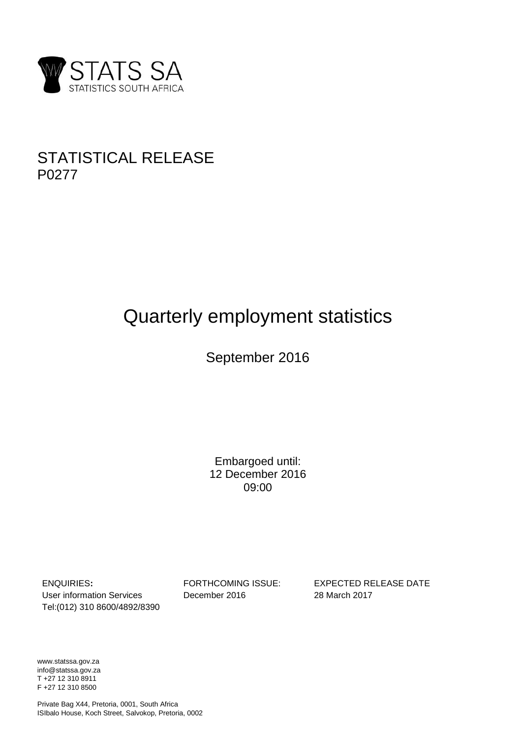

## STATISTICAL RELEASE P0277

# Quarterly employment statistics

## September 2016

Embargoed until: 12 December 2016 09:00

ENQUIRIES**:** FORTHCOMING ISSUE: EXPECTED RELEASE DATE User information Services December 2016 28 March 2017 Tel:(012) 310 8600/4892/8390

www.statssa.gov.za info@statssa.gov.za T +27 12 310 8911 F +27 12 310 8500

Private Bag X44, Pretoria, 0001, South Africa ISIbalo House, Koch Street, Salvokop, Pretoria, 0002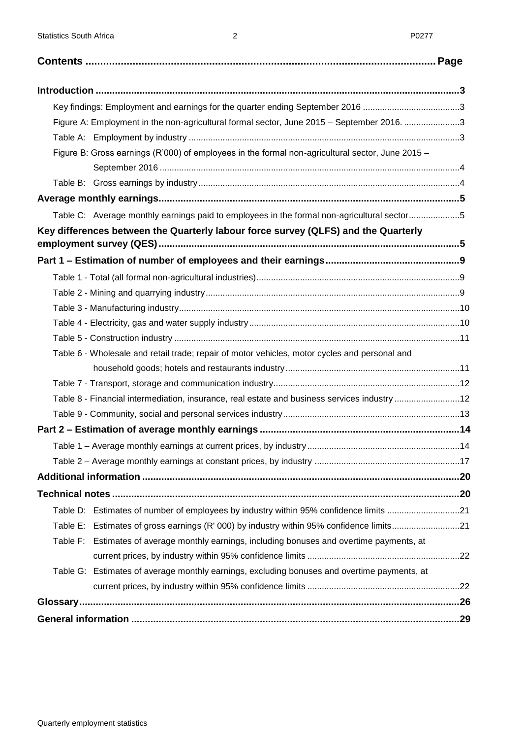<span id="page-1-0"></span>

| Key findings: Employment and earnings for the quarter ending September 2016 3                    |  |
|--------------------------------------------------------------------------------------------------|--|
| Figure A: Employment in the non-agricultural formal sector, June 2015 - September 2016. 3        |  |
|                                                                                                  |  |
| Figure B: Gross earnings (R'000) of employees in the formal non-agricultural sector, June 2015 - |  |
|                                                                                                  |  |
|                                                                                                  |  |
|                                                                                                  |  |
| Table C: Average monthly earnings paid to employees in the formal non-agricultural sector5       |  |
| Key differences between the Quarterly labour force survey (QLFS) and the Quarterly               |  |
|                                                                                                  |  |
|                                                                                                  |  |
|                                                                                                  |  |
|                                                                                                  |  |
|                                                                                                  |  |
|                                                                                                  |  |
| Table 6 - Wholesale and retail trade; repair of motor vehicles, motor cycles and personal and    |  |
|                                                                                                  |  |
|                                                                                                  |  |
| Table 8 - Financial intermediation, insurance, real estate and business services industry 12     |  |
|                                                                                                  |  |
|                                                                                                  |  |
|                                                                                                  |  |
|                                                                                                  |  |
|                                                                                                  |  |
|                                                                                                  |  |
| Table D: Estimates of number of employees by industry within 95% confidence limits 21            |  |
| Table E: Estimates of gross earnings (R' 000) by industry within 95% confidence limits21         |  |
| Table F: Estimates of average monthly earnings, including bonuses and overtime payments, at      |  |
|                                                                                                  |  |
| Table G: Estimates of average monthly earnings, excluding bonuses and overtime payments, at      |  |
|                                                                                                  |  |
|                                                                                                  |  |
|                                                                                                  |  |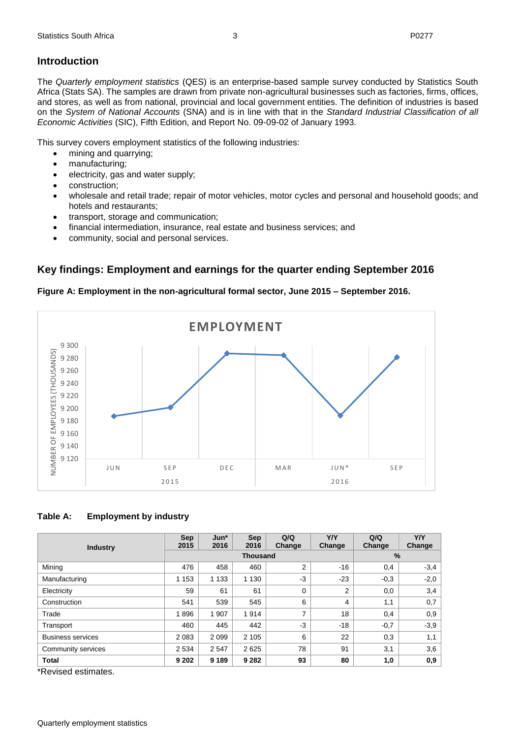## **Introduction**

The *Quarterly employment statistics* (QES) is an enterprise-based sample survey conducted by Statistics South Africa (Stats SA). The samples are drawn from private non-agricultural businesses such as factories, firms, offices, and stores, as well as from national, provincial and local government entities. The definition of industries is based on the *System of National Accounts* (SNA) and is in line with that in the *Standard Industrial Classification of all Economic Activities* (SIC), Fifth Edition, and Report No. 09-09-02 of January 1993*.*

This survey covers employment statistics of the following industries:

- mining and quarrying;
- manufacturing;
- electricity, gas and water supply;
- construction;
- wholesale and retail trade; repair of motor vehicles, motor cycles and personal and household goods; and hotels and restaurants;
- transport, storage and communication;
- financial intermediation, insurance, real estate and business services; and
- community, social and personal services.

## <span id="page-2-0"></span>**Key findings: Employment and earnings for the quarter ending September 2016**

## <span id="page-2-1"></span>**Figure A: Employment in the non-agricultural formal sector, June 2015 – September 2016.**



## <span id="page-2-2"></span>**Table A: Employment by industry**

|                          | <b>Sep</b><br>2015 | $Jun*$<br>2016 | Sep<br>2016 | Q/Q<br>Change  | <b>Y/Y</b><br>Change | Q/Q<br>Change | <b>Y/Y</b><br>Change |
|--------------------------|--------------------|----------------|-------------|----------------|----------------------|---------------|----------------------|
| <b>Industry</b>          |                    |                |             | $\%$           |                      |               |                      |
| Mining                   | 476                | 458            | 460         | 2              | -16                  | 0,4           | $-3,4$               |
| Manufacturing            | 1 1 5 3            | 1 1 3 3        | 1 1 3 0     | $-3$           | $-23$                | $-0.3$        | $-2,0$               |
| Electricity              | 59                 | 61             | 61          | 0              | $\overline{2}$       | 0,0           | 3,4                  |
| Construction             | 541                | 539            | 545         | 6              | 4                    | 1,1           | 0,7                  |
| Trade                    | 1896               | 1 907          | 914<br>1    | $\overline{ }$ | 18                   | 0,4           | 0,9                  |
| Transport                | 460                | 445            | 442         | $-3$           | $-18$                | $-0,7$        | $-3,9$               |
| <b>Business services</b> | 2 0 8 3            | 2099           | 2 1 0 5     | 6              | 22                   | 0,3           | 1,1                  |
| Community services       | 2 5 3 4            | 2 5 4 7        | 2625        | 78             | 91                   | 3,1           | 3,6                  |
| <b>Total</b>             | 9 2 0 2            | 9 1 8 9        | 9 2 8 2     | 93             | 80                   | 1,0           | 0,9                  |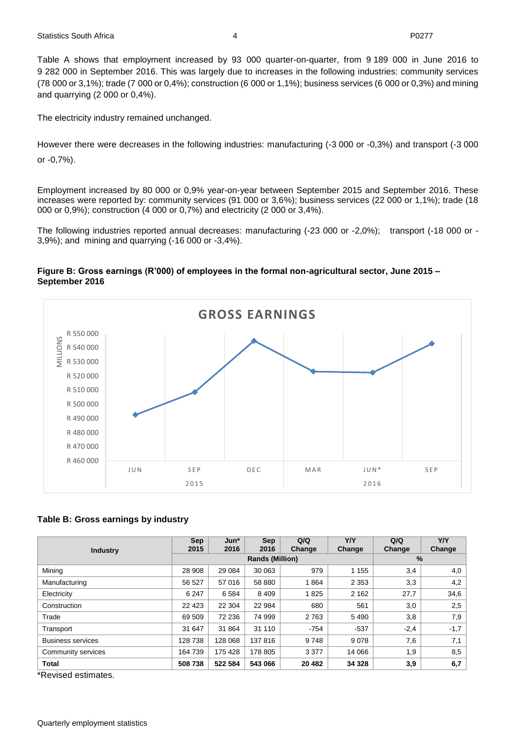Table A shows that employment increased by 93 000 quarter-on-quarter, from 9 189 000 in June 2016 to 9 282 000 in September 2016. This was largely due to increases in the following industries: community services (78 000 or 3,1%); trade (7 000 or 0,4%); construction (6 000 or 1,1%); business services (6 000 or 0,3%) and mining and quarrying (2 000 or 0,4%).

The electricity industry remained unchanged.

However there were decreases in the following industries: manufacturing (-3 000 or -0,3%) and transport (-3 000 or -0,7%).

Employment increased by 80 000 or 0,9% year-on-year between September 2015 and September 2016. These increases were reported by: community services (91 000 or 3,6%); business services (22 000 or 1,1%); trade (18 000 or 0,9%); construction (4 000 or 0,7%) and electricity (2 000 or 3,4%).

The following industries reported annual decreases: manufacturing (-23 000 or -2,0%); transport (-18 000 or - 3,9%); and mining and quarrying (-16 000 or -3,4%).

#### <span id="page-3-0"></span>**Figure B: Gross earnings (R'000) of employees in the formal non-agricultural sector, June 2015 – September 2016**



#### <span id="page-3-1"></span>**Table B: Gross earnings by industry**

| <b>Industry</b>          | <b>Sep</b><br>2015 | $Jun*$<br>2016 | Sep<br>2016 | Q/Q<br>Change | <b>Y/Y</b><br>Change | Q/Q<br>Change | <b>Y/Y</b><br>Change |
|--------------------------|--------------------|----------------|-------------|---------------|----------------------|---------------|----------------------|
|                          |                    |                |             | $\frac{9}{6}$ |                      |               |                      |
| Mining                   | 28 908             | 29 084         | 30 063      | 979           | 1 1 5 5              | 3,4           | 4,0                  |
| Manufacturing            | 56 527             | 57 016         | 58 880      | 1864          | 2 3 5 3              | 3,3           | 4,2                  |
| Electricity              | 6 2 4 7            | 6 5 8 4        | 8 4 0 9     | 1825          | 2 1 6 2              | 27,7          | 34,6                 |
| Construction             | 22 4 23            | 22 304         | 22 984      | 680           | 561                  | 3,0           | 2,5                  |
| Trade                    | 69 509             | 72 236         | 74 999      | 2 7 6 3       | 5490                 | 3,8           | 7,9                  |
| Transport                | 31 647             | 31 864         | 31 110      | $-754$        | $-537$               | $-2,4$        | $-1,7$               |
| <b>Business services</b> | 128 738            | 128 068        | 137816      | 9748          | 9078                 | 7,6           | 7,1                  |
| Community services       | 164 739            | 175 428        | 178 805     | 3 3 7 7       | 14 066               | 1,9           | 8,5                  |
| <b>Total</b>             | 508738             | 522 584        | 543 066     | 20 4 82       | 34 3 28              | 3,9           | 6,7                  |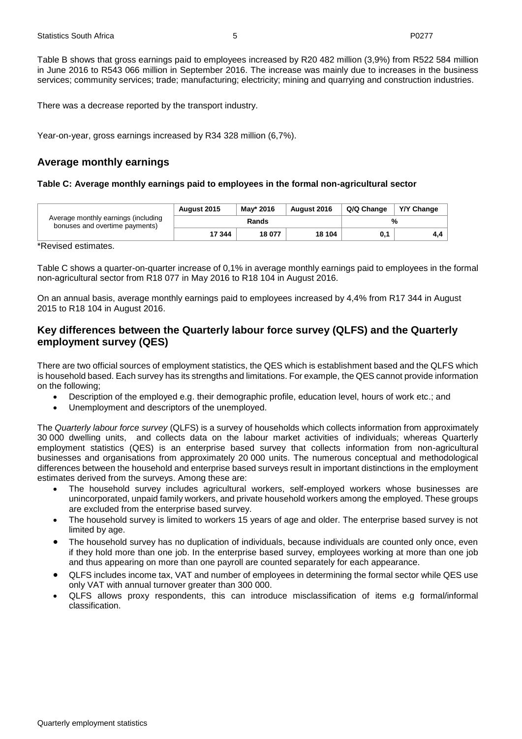Table B shows that gross earnings paid to employees increased by R20 482 million (3,9%) from R522 584 million in June 2016 to R543 066 million in September 2016. The increase was mainly due to increases in the business services; community services; trade; manufacturing; electricity; mining and quarrying and construction industries.

There was a decrease reported by the transport industry.

Year-on-year, gross earnings increased by R34 328 million (6,7%).

## <span id="page-4-0"></span>**Average monthly earnings**

#### <span id="page-4-1"></span>**Table C: Average monthly earnings paid to employees in the formal non-agricultural sector**

| Average monthly earnings (including<br>bonuses and overtime payments) | <b>August 2015</b> | Mav* 2016 | Y/Y Change<br>Q/Q Change |     |     |  |
|-----------------------------------------------------------------------|--------------------|-----------|--------------------------|-----|-----|--|
|                                                                       | Rands              |           |                          | %   |     |  |
|                                                                       | 17 344             | 18 077    | 18 104                   | 0.1 | 4.4 |  |

\*Revised estimates.

Table C shows a quarter-on-quarter increase of 0,1% in average monthly earnings paid to employees in the formal non-agricultural sector from R18 077 in May 2016 to R18 104 in August 2016.

On an annual basis, average monthly earnings paid to employees increased by 4,4% from R17 344 in August 2015 to R18 104 in August 2016.

## <span id="page-4-2"></span>**Key differences between the Quarterly labour force survey (QLFS) and the Quarterly employment survey (QES)**

There are two official sources of employment statistics, the QES which is establishment based and the QLFS which is household based. Each survey has its strengths and limitations. For example, the QES cannot provide information on the following;

- Description of the employed e.g. their demographic profile, education level, hours of work etc.; and
- Unemployment and descriptors of the unemployed.

The *Quarterly labour force survey* (QLFS) is a survey of households which collects information from approximately 30 000 dwelling units, and collects data on the labour market activities of individuals; whereas Quarterly employment statistics (QES) is an enterprise based survey that collects information from non-agricultural businesses and organisations from approximately 20 000 units. The numerous conceptual and methodological differences between the household and enterprise based surveys result in important distinctions in the employment estimates derived from the surveys. Among these are:

- The household survey includes agricultural workers, self-employed workers whose businesses are unincorporated, unpaid family workers, and private household workers among the employed. These groups are excluded from the enterprise based survey.
- The household survey is limited to workers 15 years of age and older. The enterprise based survey is not limited by age.
- The household survey has no duplication of individuals, because individuals are counted only once, even if they hold more than one job. In the enterprise based survey, employees working at more than one job and thus appearing on more than one payroll are counted separately for each appearance.
- QLFS includes income tax, VAT and number of employees in determining the formal sector while QES use only VAT with annual turnover greater than 300 000.
- QLFS allows proxy respondents, this can introduce misclassification of items e.g formal/informal classification.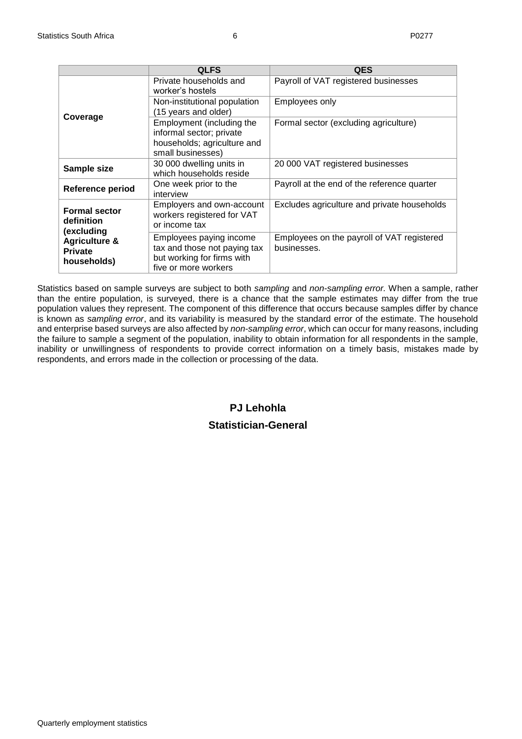|                                                           | <b>QLFS</b>                                                                                                   | <b>QES</b>                                                |
|-----------------------------------------------------------|---------------------------------------------------------------------------------------------------------------|-----------------------------------------------------------|
|                                                           | Private households and<br>worker's hostels                                                                    | Payroll of VAT registered businesses                      |
|                                                           | Non-institutional population<br>(15 years and older)                                                          | Employees only                                            |
| Coverage                                                  | Employment (including the<br>informal sector; private<br>households; agriculture and<br>small businesses)     | Formal sector (excluding agriculture)                     |
| Sample size                                               | 30 000 dwelling units in<br>which households reside                                                           | 20 000 VAT registered businesses                          |
| Reference period                                          | One week prior to the<br>interview                                                                            | Payroll at the end of the reference quarter               |
| <b>Formal sector</b><br>definition<br>(excluding          | Employers and own-account<br>workers registered for VAT<br>or income tax                                      | Excludes agriculture and private households               |
| <b>Agriculture &amp;</b><br><b>Private</b><br>households) | Employees paying income<br>tax and those not paying tax<br>but working for firms with<br>five or more workers | Employees on the payroll of VAT registered<br>businesses. |

Statistics based on sample surveys are subject to both *sampling* and *non-sampling error.* When a sample, rather than the entire population, is surveyed, there is a chance that the sample estimates may differ from the true population values they represent. The component of this difference that occurs because samples differ by chance is known as *sampling error*, and its variability is measured by the standard error of the estimate. The household and enterprise based surveys are also affected by *non-sampling error*, which can occur for many reasons, including the failure to sample a segment of the population, inability to obtain information for all respondents in the sample, inability or unwillingness of respondents to provide correct information on a timely basis, mistakes made by respondents, and errors made in the collection or processing of the data.

## **PJ Lehohla**

## **Statistician-General**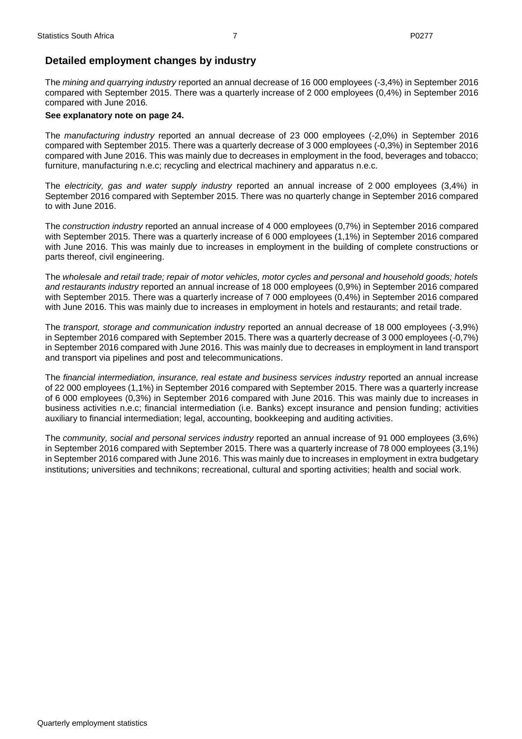## **Detailed employment changes by industry**

The *mining and quarrying industry* reported an annual decrease of 16 000 employees (-3,4%) in September 2016 compared with September 2015. There was a quarterly increase of 2 000 employees (0,4%) in September 2016 compared with June 2016*.* 

## **See explanatory note on page 24.**

The *manufacturing industry* reported an annual decrease of 23 000 employees (-2,0%) in September 2016 compared with September 2015. There was a quarterly decrease of 3 000 employees (-0,3%) in September 2016 compared with June 2016. This was mainly due to decreases in employment in the food, beverages and tobacco; furniture, manufacturing n.e.c; recycling and electrical machinery and apparatus n.e.c.

The *electricity, gas and water supply industry* reported an annual increase of 2 000 employees (3,4%) in September 2016 compared with September 2015. There was no quarterly change in September 2016 compared to with June 2016.

The *construction industry* reported an annual increase of 4 000 employees (0,7%) in September 2016 compared with September 2015. There was a quarterly increase of 6 000 employees (1,1%) in September 2016 compared with June 2016. This was mainly due to increases in employment in the building of complete constructions or parts thereof, civil engineering.

The *wholesale and retail trade; repair of motor vehicles, motor cycles and personal and household goods; hotels and restaurants industry* reported an annual increase of 18 000 employees (0,9%) in September 2016 compared with September 2015. There was a quarterly increase of 7 000 employees (0,4%) in September 2016 compared with June 2016. This was mainly due to increases in employment in hotels and restaurants; and retail trade.

The *transport, storage and communication industry* reported an annual decrease of 18 000 employees (-3,9%) in September 2016 compared with September 2015. There was a quarterly decrease of 3 000 employees (-0,7%) in September 2016 compared with June 2016. This was mainly due to decreases in employment in land transport and transport via pipelines and post and telecommunications.

The *financial intermediation, insurance, real estate and business services industry* reported an annual increase of 22 000 employees (1,1%) in September 2016 compared with September 2015. There was a quarterly increase of 6 000 employees (0,3%) in September 2016 compared with June 2016. This was mainly due to increases in business activities n.e.c; financial intermediation (i.e. Banks) except insurance and pension funding; activities auxiliary to financial intermediation; legal, accounting, bookkeeping and auditing activities.

The *community, social and personal services industry* reported an annual increase of 91 000 employees (3,6%) in September 2016 compared with September 2015. There was a quarterly increase of 78 000 employees (3,1%) in September 2016 compared with June 2016. This was mainly due to increases in employment in extra budgetary institutions; universities and technikons; recreational, cultural and sporting activities; health and social work.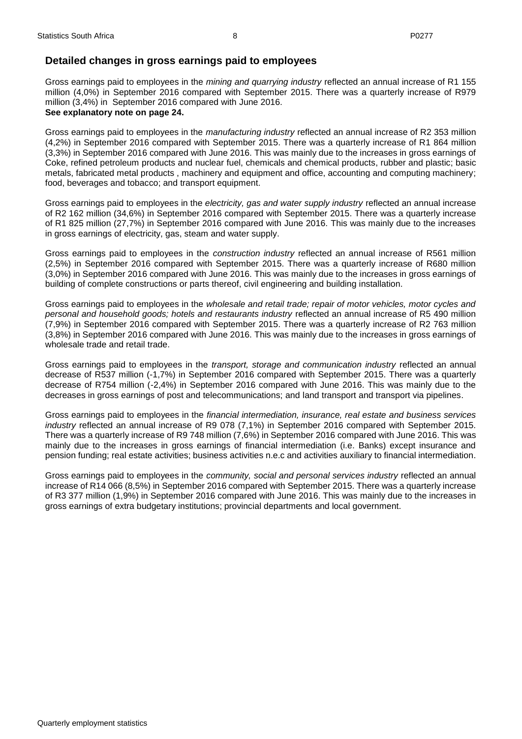## **Detailed changes in gross earnings paid to employees**

Gross earnings paid to employees in the *mining and quarrying industry* reflected an annual increase of R1 155 million (4,0%) in September 2016 compared with September 2015. There was a quarterly increase of R979 million (3,4%) in September 2016 compared with June 2016.

#### **See explanatory note on page 24.**

Gross earnings paid to employees in the *manufacturing industry* reflected an annual increase of R2 353 million (4,2%) in September 2016 compared with September 2015. There was a quarterly increase of R1 864 million (3,3%) in September 2016 compared with June 2016. This was mainly due to the increases in gross earnings of Coke, refined petroleum products and nuclear fuel, chemicals and chemical products, rubber and plastic; basic metals, fabricated metal products , machinery and equipment and office, accounting and computing machinery; food, beverages and tobacco; and transport equipment.

Gross earnings paid to employees in the *electricity, gas and water supply industry* reflected an annual increase of R2 162 million (34,6%) in September 2016 compared with September 2015. There was a quarterly increase of R1 825 million (27,7%) in September 2016 compared with June 2016. This was mainly due to the increases in gross earnings of electricity, gas, steam and water supply.

Gross earnings paid to employees in the *construction industry* reflected an annual increase of R561 million (2,5%) in September 2016 compared with September 2015. There was a quarterly increase of R680 million (3,0%) in September 2016 compared with June 2016. This was mainly due to the increases in gross earnings of building of complete constructions or parts thereof, civil engineering and building installation.

Gross earnings paid to employees in the *wholesale and retail trade; repair of motor vehicles, motor cycles and personal and household goods; hotels and restaurants industry* reflected an annual increase of R5 490 million (7,9%) in September 2016 compared with September 2015. There was a quarterly increase of R2 763 million (3,8%) in September 2016 compared with June 2016. This was mainly due to the increases in gross earnings of wholesale trade and retail trade.

Gross earnings paid to employees in the *transport, storage and communication industry* reflected an annual decrease of R537 million (-1,7%) in September 2016 compared with September 2015. There was a quarterly decrease of R754 million (-2,4%) in September 2016 compared with June 2016. This was mainly due to the decreases in gross earnings of post and telecommunications; and land transport and transport via pipelines.

Gross earnings paid to employees in the *financial intermediation, insurance, real estate and business services industry* reflected an annual increase of R9 078 (7,1%) in September 2016 compared with September 2015. There was a quarterly increase of R9 748 million (7,6%) in September 2016 compared with June 2016. This was mainly due to the increases in gross earnings of financial intermediation (i.e. Banks) except insurance and pension funding; real estate activities; business activities n.e.c and activities auxiliary to financial intermediation.

Gross earnings paid to employees in the *community, social and personal services industry* reflected an annual increase of R14 066 (8,5%) in September 2016 compared with September 2015. There was a quarterly increase of R3 377 million (1,9%) in September 2016 compared with June 2016. This was mainly due to the increases in gross earnings of extra budgetary institutions; provincial departments and local government.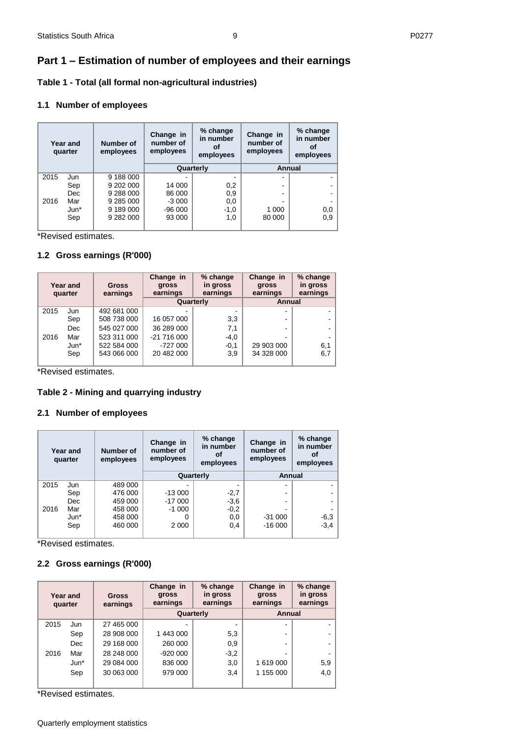## <span id="page-8-0"></span>**Part 1 – Estimation of number of employees and their earnings**

<span id="page-8-1"></span>**Table 1 - Total (all formal non-agricultural industries)** 

### **1.1 Number of employees**

|      | Year and<br>quarter | Number of<br>employees | Change in<br>number of<br>employees | % change<br>in number<br>οf<br>employees | Change in<br>number of<br>employees | % change<br>in number<br>οf<br>employees |
|------|---------------------|------------------------|-------------------------------------|------------------------------------------|-------------------------------------|------------------------------------------|
|      |                     |                        | Quarterly                           |                                          | Annual                              |                                          |
| 2015 | Jun                 | 9 188 000              |                                     |                                          |                                     |                                          |
|      | Sep                 | 9 202 000              | 14 000                              | 0,2                                      |                                     |                                          |
|      | Dec                 | 9 288 000              | 86 000                              | 0,9                                      |                                     |                                          |
| 2016 | Mar                 | 9 285 000              | $-3000$                             | 0,0                                      |                                     |                                          |
|      | $Jun*$              | 9 189 000              | $-96000$                            | $-1,0$                                   | 1 000                               | 0,0                                      |
|      | Sep                 | 9 282 000              | 93 000                              | 1,0                                      | 80 000                              | 0,9                                      |

\*Revised estimates.

### **1.2 Gross earnings (R'000)**

|      | Year and<br>quarter | <b>Gross</b><br>earnings | Change in<br>gross<br>earnings | % change<br>in gross<br>earnings | Change in<br><b>gross</b><br>earnings | % change<br>in gross<br>earnings |
|------|---------------------|--------------------------|--------------------------------|----------------------------------|---------------------------------------|----------------------------------|
|      |                     |                          |                                | Quarterly                        | Annual                                |                                  |
| 2015 | Jun                 | 492 681 000              |                                |                                  | $\overline{\phantom{a}}$              |                                  |
|      | Sep                 | 508 738 000              | 16 057 000                     | 3,3                              | -                                     |                                  |
|      | <b>Dec</b>          | 545 027 000              | 36 289 000                     | 7,1                              | -                                     |                                  |
| 2016 | Mar                 | 523 311 000              | $-21716000$                    | $-4,0$                           |                                       |                                  |
|      | Jun*                | 522 584 000              | $-727000$                      | $-0,1$                           | 29 903 000                            | 6,1                              |
|      | Sep                 | 543 066 000              | 20 482 000                     | 3.9                              | 34 328 000                            | 6,7                              |
|      |                     |                          |                                |                                  |                                       |                                  |

\*Revised estimates.

#### <span id="page-8-2"></span>**Table 2 - Mining and quarrying industry**

#### **2.1 Number of employees**

|      | Year and<br>quarter | Number of<br>employees | Change in<br>number of<br>employees | % change<br>in number<br>οf<br>employees | Change in<br>number of<br>employees | % change<br>in number<br>Οt<br>employees |
|------|---------------------|------------------------|-------------------------------------|------------------------------------------|-------------------------------------|------------------------------------------|
|      |                     |                        | Quarterly                           |                                          | Annual                              |                                          |
| 2015 | Jun                 | 489 000                |                                     |                                          | -                                   |                                          |
|      | Sep                 | 476 000                | $-13000$                            | $-2,7$                                   | -                                   |                                          |
|      | Dec                 | 459 000                | $-17000$                            | $-3,6$                                   |                                     |                                          |
| 2016 | Mar                 | 458 000                | $-1000$                             | $-0,2$                                   |                                     |                                          |
|      | $Jun*$              | 458 000                |                                     | 0,0                                      | $-31000$                            |                                          |
|      | Sep                 | 460 000                | 2 0 0 0                             | 0,4                                      | $-16000$                            | $-6,3$<br>$-3,4$                         |

\*Revised estimates.

#### **2.2 Gross earnings (R'000)**

| Year and<br>quarter |        | <b>Gross</b><br>earnings | Change in<br>gross<br>earnings | % change<br>in gross<br>earnings | Change in<br>gross<br>earnings | % change<br>in gross<br>earnings |
|---------------------|--------|--------------------------|--------------------------------|----------------------------------|--------------------------------|----------------------------------|
|                     |        |                          |                                | Quarterly                        | Annual                         |                                  |
| 2015                | Jun    | 27 465 000               |                                |                                  | $\overline{\phantom{0}}$       |                                  |
|                     | Sep    | 28 908 000               | 1 443 000                      | 5,3                              | ۰                              |                                  |
|                     | Dec.   | 29 168 000               | 260 000                        | 0,9                              | -                              |                                  |
| 2016                | Mar    | 28 248 000               | $-920000$                      | $-3,2$                           | -                              |                                  |
|                     | $Jun*$ | 29 084 000               | 836 000                        | 3,0                              | 1 619 000                      | 5,9                              |
|                     | Sep    | 30 063 000               | 979 000                        | 3,4                              | 1 155 000                      | 4,0                              |
|                     |        |                          |                                |                                  |                                |                                  |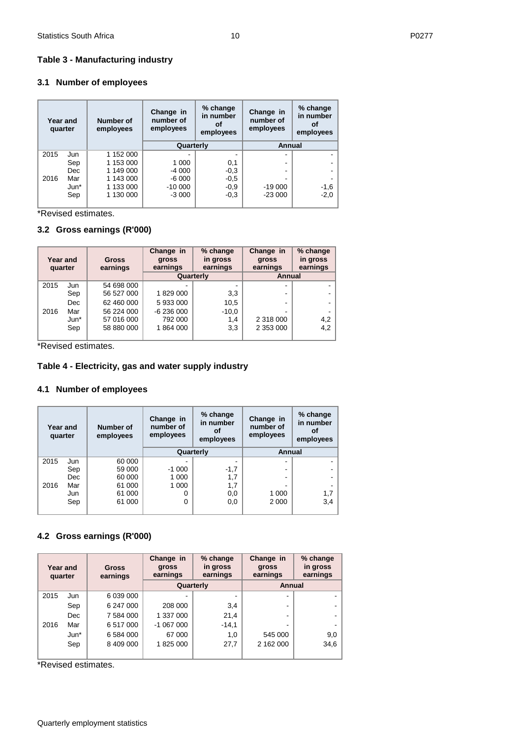## <span id="page-9-0"></span>**Table 3 - Manufacturing industry**

## **3.1 Number of employees**

| quarter | Year and | Number of<br>employees | Change in<br>number of<br>employees | % change<br>in number<br>οf<br>employees | Change in<br>number of<br>employees | % change<br>in number<br>οf<br>employees |
|---------|----------|------------------------|-------------------------------------|------------------------------------------|-------------------------------------|------------------------------------------|
|         |          |                        | Quarterly                           |                                          | Annual                              |                                          |
| 2015    | Jun      | 1 152 000              |                                     |                                          |                                     |                                          |
|         | Sep      | 1 153 000              | 1 0 0 0                             | 0,1                                      |                                     |                                          |
|         | Dec      | 1 149 000              | -4 000                              | $-0,3$                                   |                                     |                                          |
| 2016    | Mar      | 1 143 000              | -6 000                              | $-0,5$                                   |                                     |                                          |
|         | $Jun*$   | 1 133 000              | $-10000$                            | $-0.9$                                   | $-19000$                            | $-1,6$                                   |
|         | Sep      | 1 130 000              | $-3000$                             | $-0,3$                                   | $-23000$                            | $-2,0$                                   |

\*Revised estimates.

## **3.2 Gross earnings (R'000)**

| quarter | Year and   | <b>Gross</b><br>earnings | Change in<br>gross<br>earnings | % change<br>in gross<br>earnings | Change in<br>gross<br>earnings | % change<br>in gross<br>earnings |
|---------|------------|--------------------------|--------------------------------|----------------------------------|--------------------------------|----------------------------------|
|         |            |                          | Quarterly                      |                                  | Annual                         |                                  |
| 2015    | Jun        | 54 698 000               |                                |                                  | ۰                              |                                  |
|         | Sep        | 56 527 000               | 1829 000                       | 3,3                              | ۰                              |                                  |
|         | <b>Dec</b> | 62 460 000               | 5933000                        | 10,5                             | ۰                              |                                  |
| 2016    | Mar        | 56 224 000               | $-6236000$                     | $-10,0$                          |                                |                                  |
|         | $Jun*$     | 57 016 000               | 792 000                        | 1,4                              | 2 318 000                      | 4,2                              |
|         | Sep        | 58 880 000               | 1864000                        | 3,3                              | 2 353 000                      | 4,2                              |

\*Revised estimates.

## <span id="page-9-1"></span>**Table 4 - Electricity, gas and water supply industry**

## **4.1 Number of employees**

| quarter | Year and | Number of<br>employees | Change in<br>number of<br>employees | % change<br>in number<br>Ωf<br>employees | Change in<br>number of<br>employees | % change<br>in number<br>οf<br>employees |
|---------|----------|------------------------|-------------------------------------|------------------------------------------|-------------------------------------|------------------------------------------|
|         |          |                        |                                     | Quarterly                                | Annual                              |                                          |
| 2015    | Jun      | 60 000                 |                                     |                                          |                                     |                                          |
|         | Sep      | 59 000                 | $-1000$                             | $-1,7$                                   |                                     |                                          |
|         | Dec      | 60 000                 | 1 0 0 0                             | 1,7                                      |                                     |                                          |
| 2016    | Mar      | 61 000                 | 1 0 0 0                             | 1,7                                      |                                     |                                          |
|         | Jun      | 61 000                 |                                     | 0,0                                      | 1 000                               | 1,7                                      |
|         | Sep      | 61 000                 |                                     | 0,0                                      | 2 0 0 0                             | 3,4                                      |

## **4.2 Gross earnings (R'000)**

| Year and<br>quarter |        | Gross<br>earnings | Change in<br>gross<br>earnings | % change<br>in gross<br>earnings | Change in<br>gross<br>earnings | % change<br>in gross<br>earnings |
|---------------------|--------|-------------------|--------------------------------|----------------------------------|--------------------------------|----------------------------------|
|                     |        |                   |                                | Quarterly                        | Annual                         |                                  |
| 2015                | Jun    | 6 039 000         | ۰                              | $\overline{\phantom{0}}$         | -                              |                                  |
|                     | Sep    | 6 247 000         | 208 000                        | 3,4                              | -                              |                                  |
|                     | Dec    | 7 584 000         | 1 337 000                      | 21,4                             | -                              |                                  |
| 2016                | Mar    | 6 517 000         | $-1067000$                     | $-14,1$                          |                                |                                  |
|                     | $Jun*$ | 6 584 000         | 67 000                         | 1,0                              | 545 000                        | 9,0                              |
|                     | Sep    | 8 409 000         | 1825 000                       | 27,7                             | 2 162 000                      | 34,6                             |
|                     |        |                   |                                |                                  |                                |                                  |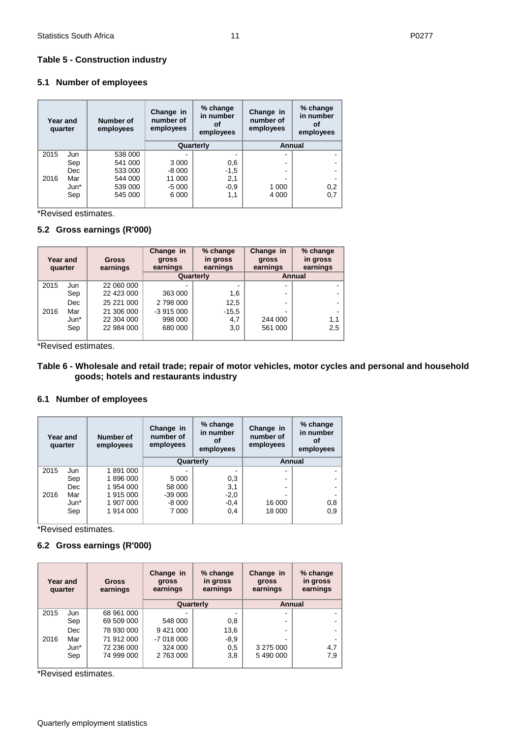#### <span id="page-10-0"></span>**Table 5 - Construction industry**

## **5.1 Number of employees**

| Year and<br>quarter |      |      | % change<br>Change in<br>in number<br>number of<br>Number of<br>Οf<br>employees<br>employees<br>employees |         | % change<br>Change in<br>in number<br>number of<br>οf<br>employees<br>employees |         |     |
|---------------------|------|------|-----------------------------------------------------------------------------------------------------------|---------|---------------------------------------------------------------------------------|---------|-----|
|                     |      |      |                                                                                                           |         | Quarterly                                                                       | Annual  |     |
|                     | 2015 | Jun  | 538 000                                                                                                   |         |                                                                                 |         |     |
|                     |      | Sep  | 541 000                                                                                                   | 3 0 0 0 | 0,6                                                                             | -       |     |
|                     |      | Dec. | 533 000                                                                                                   | $-8000$ | $-1,5$                                                                          | -       |     |
|                     | 2016 | Mar  | 544 000                                                                                                   | 11 000  | 2,1                                                                             |         |     |
|                     |      | Jun* | 539 000                                                                                                   | $-5000$ | $-0,9$                                                                          | 1 0 0 0 | 0,2 |
|                     |      | Sep  | 545 000                                                                                                   | 6 0 0 0 | 1,1                                                                             | 4 0 0 0 | 0,7 |
|                     |      |      |                                                                                                           |         |                                                                                 |         |     |

\*Revised estimates.

## **5.2 Gross earnings (R'000)**

| Year and<br>quarter |            | <b>Gross</b><br>earnings | Change in<br>gross<br>earnings | % change<br>in gross<br>earnings | Change in<br><b>gross</b><br>earnings | % change<br>in gross<br>earnings |
|---------------------|------------|--------------------------|--------------------------------|----------------------------------|---------------------------------------|----------------------------------|
|                     |            |                          |                                | Quarterly                        | Annual                                |                                  |
| 2015                | Jun        | 22 060 000               | ۰                              |                                  | $\overline{\phantom{0}}$              |                                  |
|                     | Sep        | 22 423 000               | 363 000                        | 1,6                              | $\overline{\phantom{0}}$              |                                  |
|                     | <b>Dec</b> | 25 221 000               | 2798000                        | 12,5                             | $\overline{\phantom{0}}$              |                                  |
| 2016                | Mar        | 21 306 000               | $-3915000$                     | $-15.5$                          | $\overline{\phantom{0}}$              |                                  |
|                     | $Jun*$     | 22 304 000               | 998 000                        | 4,7                              | 244 000                               | 1,1                              |
|                     | Sep        | 22 984 000               | 680 000                        | 3,0                              | 561 000                               | 2,5                              |
|                     |            |                          |                                |                                  |                                       |                                  |

\*Revised estimates.

## <span id="page-10-1"></span>**Table 6 - Wholesale and retail trade; repair of motor vehicles, motor cycles and personal and household goods; hotels and restaurants industry**

## **6.1 Number of employees**

| Year and<br>quarter |        | Number of<br>employees | Change in<br>number of<br>employees | % change<br>in number<br>οf<br>employees | Change in<br>number of<br>employees | % change<br>in number<br>οf<br>employees |
|---------------------|--------|------------------------|-------------------------------------|------------------------------------------|-------------------------------------|------------------------------------------|
|                     |        |                        |                                     | Quarterly                                | Annual                              |                                          |
| 2015                | Jun    | 1891000                |                                     |                                          | -                                   |                                          |
|                     | Sep    | 1896000                | 5 0 0 0                             | 0,3                                      | ۰.                                  |                                          |
|                     | Dec    | 1954 000               | 58 000                              | 3,1                                      | ۰.                                  |                                          |
| 2016                | Mar    | 1915000                | $-39000$                            | $-2,0$                                   |                                     |                                          |
|                     | $Jun*$ | 1 907 000              | $-8000$                             | $-0,4$                                   | 16 000                              | 0,8                                      |
|                     | Sep    | 1914 000               | 7 0 0 0                             | 0,4                                      | 18 000                              | 0,9                                      |

\*Revised estimates.

## **6.2 Gross earnings (R'000)**

| Year and<br>quarter |        | <b>Gross</b><br>earnings |            | % change<br>Change in<br>in gross<br>gross<br>earnings<br>earnings |           | % change<br>in gross<br>earnings |
|---------------------|--------|--------------------------|------------|--------------------------------------------------------------------|-----------|----------------------------------|
|                     |        |                          |            | Quarterly                                                          | Annual    |                                  |
| 2015                | Jun    | 68 961 000               |            |                                                                    |           |                                  |
|                     | Sep    | 69 509 000               | 548 000    | 0,8                                                                |           |                                  |
|                     | Dec    | 78 930 000               | 9421000    | 13,6                                                               |           |                                  |
| 2016                | Mar    | 71 912 000               | $-7018000$ | $-8,9$                                                             |           |                                  |
|                     | $Jun*$ | 72 236 000               | 324 000    | 0,5                                                                | 3 275 000 | 4,7                              |
|                     | Sep    | 74 999 000               | 2 763 000  | 3,8                                                                | 5 490 000 | 7,9                              |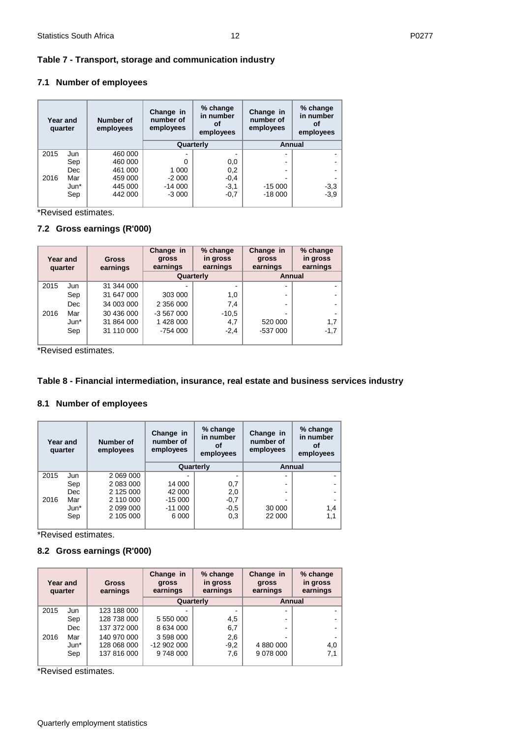## <span id="page-11-0"></span>**Table 7 - Transport, storage and communication industry**

## **7.1 Number of employees**

| Year and<br>quarter |        | Number of<br>employees | % change<br>Change in<br>in number<br>number of<br>οf<br>employees<br>employees |           | Change in<br>number of<br>employees | % change<br>in number<br>оf<br>employees |
|---------------------|--------|------------------------|---------------------------------------------------------------------------------|-----------|-------------------------------------|------------------------------------------|
|                     |        |                        |                                                                                 | Quarterly | Annual                              |                                          |
| 2015                | Jun    | 460 000                |                                                                                 |           |                                     |                                          |
|                     | Sep    | 460 000                | 0                                                                               | 0,0       |                                     |                                          |
|                     | Dec    | 461 000                | 1 0 0 0                                                                         | 0,2       | -                                   |                                          |
| 2016                | Mar    | 459 000                | $-2000$                                                                         | $-0,4$    |                                     |                                          |
|                     | $Jun*$ | 445 000                | $-14000$                                                                        | $-3,1$    | $-15000$                            | $-3,3$<br>$-3,9$                         |
|                     | Sep    | 442 000                | $-3000$                                                                         | $-0,7$    | $-18000$                            |                                          |

\*Revised estimates.

## **7.2 Gross earnings (R'000)**

| Year and<br>quarter |        | <b>Gross</b><br>earnings | Change in<br>gross<br>earnings | % change<br>in gross<br>earnings | Change in<br><b>gross</b><br>earnings | % change<br>in gross<br>earnings |
|---------------------|--------|--------------------------|--------------------------------|----------------------------------|---------------------------------------|----------------------------------|
|                     |        |                          |                                | Quarterly                        | Annual                                |                                  |
| 2015                | Jun    | 31 344 000               |                                |                                  |                                       |                                  |
|                     | Sep    | 31 647 000               | 303 000                        | 1,0                              |                                       |                                  |
|                     | Dec    | 34 003 000               | 2 356 000                      | 7,4                              |                                       |                                  |
| 2016                | Mar    | 30 436 000               | $-3567000$                     | $-10,5$                          |                                       |                                  |
|                     | $Jun*$ | 31 864 000               | 1428 000                       | 4,7                              | 520 000                               | 1,7                              |
|                     | Sep    | 31 110 000               | $-754000$                      | $-2,4$                           | $-537000$                             | $-1,7$                           |
|                     |        |                          |                                |                                  |                                       |                                  |

\*Revised estimates.

## <span id="page-11-1"></span>**Table 8 - Financial intermediation, insurance, real estate and business services industry**

## **8.1 Number of employees**

| Year and<br>quarter |        | Number of<br>employees | Change in<br>number of<br>employees | % change<br>in number<br>οf<br>employees | Change in<br>number of<br>employees | % change<br>in number<br>Οt<br>employees |  |
|---------------------|--------|------------------------|-------------------------------------|------------------------------------------|-------------------------------------|------------------------------------------|--|
|                     |        |                        |                                     | Quarterly                                |                                     | Annual                                   |  |
| 2015                | Jun    | 2 069 000              |                                     |                                          |                                     |                                          |  |
|                     | Sep    | 2 083 000              | 14 000                              | 0,7                                      |                                     |                                          |  |
|                     | Dec    | 2 125 000              | 42 000                              | 2,0                                      |                                     |                                          |  |
| 2016                | Mar    | 2 110 000              | $-15000$                            | $-0,7$                                   |                                     |                                          |  |
|                     | $Jun*$ | 2 099 000              | $-11000$                            | $-0,5$                                   | 30 000                              | $1.4^{\circ}$                            |  |
|                     | Sep    | 2 105 000              | 6 0 0 0                             | 0,3                                      | 22 000                              | 1,1                                      |  |

**Example 2** \*Revised estimates.

## **8.2 Gross earnings (R'000)**

| Year and<br>quarter |            | <b>Gross</b><br>earnings | Change in<br>gross<br>earnings | % change<br>in gross<br>earnings | Change in<br><b>gross</b><br>earnings | % change<br>in gross<br>earnings |
|---------------------|------------|--------------------------|--------------------------------|----------------------------------|---------------------------------------|----------------------------------|
|                     |            |                          |                                | Quarterly                        | Annual                                |                                  |
| 2015                | Jun        | 123 188 000              |                                |                                  |                                       |                                  |
|                     | Sep        | 128 738 000              | 5 550 000                      | 4,5                              |                                       |                                  |
|                     | <b>Dec</b> | 137 372 000              | 8 634 000                      | 6,7                              |                                       |                                  |
| 2016                | Mar        | 140 970 000              | 3 598 000                      | 2,6                              |                                       |                                  |
|                     | $Jun*$     | 128 068 000              | $-12902000$                    | $-9,2$                           | 4 880 000                             | 4,0                              |
|                     | Sep        | 137 816 000              | 9748000                        | 7,6                              | 9 078 000                             | 7,1                              |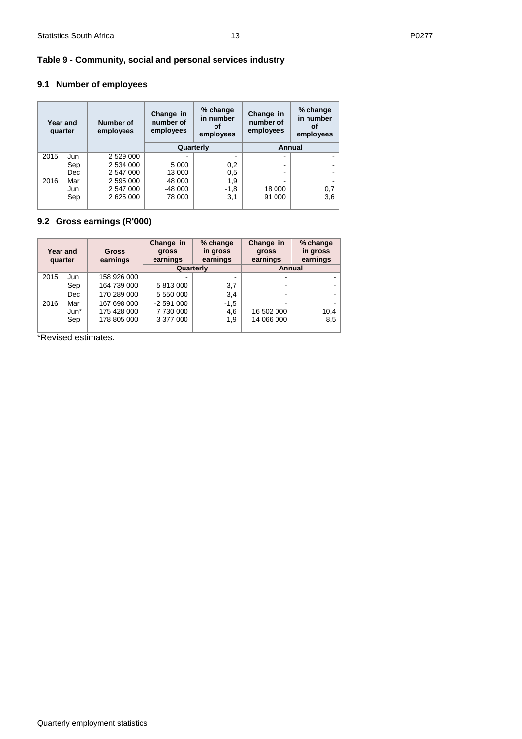## <span id="page-12-0"></span>**Table 9 - Community, social and personal services industry**

## **9.1 Number of employees**

| Year and<br>quarter |     | <b>Number of</b><br>employees | % change<br>Change in<br>in number<br>number of<br>οf<br>employees<br>employees<br>Quarterly |        | % change<br>Change in<br>in number<br>number of<br>оf<br>employees<br>employees |     |
|---------------------|-----|-------------------------------|----------------------------------------------------------------------------------------------|--------|---------------------------------------------------------------------------------|-----|
|                     |     |                               |                                                                                              |        | Annual                                                                          |     |
| 2015                | Jun | 2 529 000                     |                                                                                              |        |                                                                                 |     |
|                     | Sep | 2 534 000                     | 5 000                                                                                        | 0,2    |                                                                                 |     |
|                     | Dec | 2 547 000                     | 13 000                                                                                       | 0,5    |                                                                                 |     |
| 2016                | Mar | 2 595 000                     | 48 000                                                                                       | 1,9    |                                                                                 |     |
|                     | Jun | 2 547 000                     | $-48000$                                                                                     | $-1,8$ | 18 000                                                                          | 0,7 |
|                     | Sep | 2 625 000                     | 78 000                                                                                       | 3,1    | 91 000                                                                          | 3,6 |

## **9.2 Gross earnings (R'000)**

| Year and<br>quarter |        | <b>Gross</b><br>earnings | Change in<br>gross<br>earnings | % change<br>in gross<br>earnings | Change in<br>gross<br>earnings | % change<br>in gross<br>earnings |
|---------------------|--------|--------------------------|--------------------------------|----------------------------------|--------------------------------|----------------------------------|
|                     |        |                          | Quarterly                      |                                  | Annual                         |                                  |
| 2015                | Jun    | 158 926 000              |                                |                                  | -                              |                                  |
|                     | Sep    | 164 739 000              | 5 813 000                      | 3,7                              |                                |                                  |
|                     | Dec    | 170 289 000              | 5 550 000                      | 3,4                              |                                |                                  |
| 2016                | Mar    | 167 698 000              | $-2591000$                     | $-1,5$                           |                                |                                  |
|                     | $Jun*$ | 175 428 000              | 7730000                        | 4,6                              | 16 502 000                     | 10,4                             |
|                     | Sep    | 178 805 000              | 3 377 000                      | 1,9                              | 14 066 000                     | 8,5                              |
|                     |        |                          |                                |                                  |                                |                                  |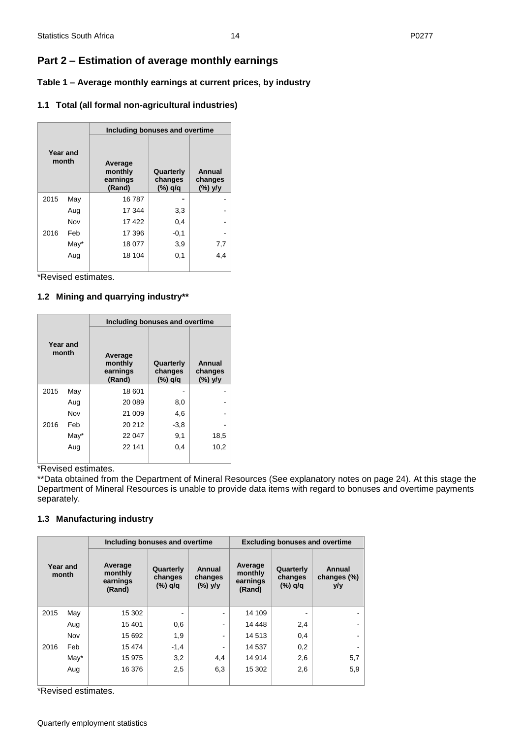## <span id="page-13-0"></span>**Part 2 – Estimation of average monthly earnings**

<span id="page-13-1"></span>**Table 1 – Average monthly earnings at current prices, by industry**

## **1.1 Total (all formal non-agricultural industries)**

| Year and<br>month |      |                                          | Including bonuses and overtime  |                                 |  |  |  |  |
|-------------------|------|------------------------------------------|---------------------------------|---------------------------------|--|--|--|--|
|                   |      | Average<br>monthly<br>earnings<br>(Rand) | Quarterly<br>changes<br>(%) q/q | Annual<br>changes<br>$(\%)$ y/y |  |  |  |  |
| 2015              | May  | 16787                                    |                                 |                                 |  |  |  |  |
|                   | Aug  | 17 344                                   | 3,3                             |                                 |  |  |  |  |
|                   | Nov  | 17422                                    | 0,4                             |                                 |  |  |  |  |
| 2016              | Feb  | 17 396                                   | $-0,1$                          |                                 |  |  |  |  |
|                   | May* | 18 077                                   | 3,9                             | 7,7                             |  |  |  |  |
|                   | Aug  | 18 104                                   | 0,1                             | 4,4                             |  |  |  |  |
|                   |      |                                          |                                 |                                 |  |  |  |  |

\*Revised estimates.

## **1.2 Mining and quarrying industry\*\***

| Year and<br>month |      | Including bonuses and overtime           |                                 |                              |  |  |  |
|-------------------|------|------------------------------------------|---------------------------------|------------------------------|--|--|--|
|                   |      | Average<br>monthly<br>earnings<br>(Rand) | Quarterly<br>changes<br>(%) q/q | Annual<br>changes<br>(%) y/y |  |  |  |
| 2015              | May  | 18 601                                   |                                 |                              |  |  |  |
|                   | Aug  | 20 089                                   | 8,0                             |                              |  |  |  |
|                   | Nov  | 21 009                                   | 4,6                             |                              |  |  |  |
| 2016              | Feb  | 20 21 2                                  | $-3,8$                          |                              |  |  |  |
|                   | May* | 22 047                                   | 9,1                             | 18,5                         |  |  |  |
|                   | Aug  | 22 141                                   | 0,4                             | 10,2                         |  |  |  |
|                   |      |                                          |                                 |                              |  |  |  |

**Example 1**<br>\*Revised estimates.

\*\*Data obtained from the Department of Mineral Resources (See explanatory notes on page 24). At this stage the Department of Mineral Resources is unable to provide data items with regard to bonuses and overtime payments separately.

## **1.3 Manufacturing industry**

| Year and<br>month |      | Including bonuses and overtime           |                                 |                                 | <b>Excluding bonuses and overtime</b>    |                                 |                              |
|-------------------|------|------------------------------------------|---------------------------------|---------------------------------|------------------------------------------|---------------------------------|------------------------------|
|                   |      | Average<br>monthly<br>earnings<br>(Rand) | Quarterly<br>changes<br>(%) q/q | Annual<br>changes<br>$(\%)$ y/y | Average<br>monthly<br>earnings<br>(Rand) | Quarterly<br>changes<br>(%) q/q | Annual<br>changes (%)<br>y/y |
| 2015              | May  | 15 302                                   |                                 | $\blacksquare$                  | 14 109                                   |                                 |                              |
|                   | Aug  | 15 401                                   | 0,6                             | $\blacksquare$                  | 14 4 48                                  | 2,4                             |                              |
|                   | Nov  | 15 692                                   | 1,9                             | $\overline{\phantom{a}}$        | 14 5 13                                  | 0,4                             |                              |
| 2016              | Feb  | 15 474                                   | $-1,4$                          | $\overline{\phantom{a}}$        | 14 537                                   | 0,2                             |                              |
|                   | May* | 15 975                                   | 3,2                             | 4,4                             | 14 9 14                                  | 2,6                             | 5,7                          |
|                   | Aug  | 16 376                                   | 2,5                             | 6,3                             | 15 302                                   | 2,6                             | 5,9                          |
|                   |      |                                          |                                 |                                 |                                          |                                 |                              |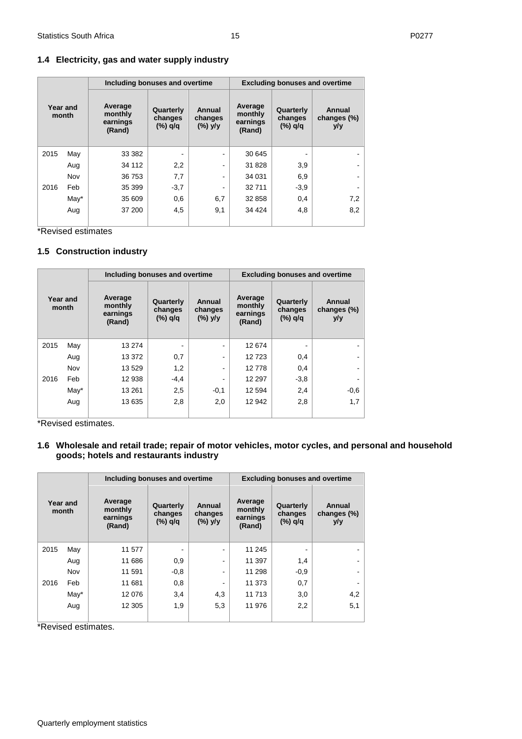### **1.4 Electricity, gas and water supply industry**

| Year and<br>month |      | Including bonuses and overtime           |                                 | <b>Excluding bonuses and overtime</b> |                                          |                                 |                              |
|-------------------|------|------------------------------------------|---------------------------------|---------------------------------------|------------------------------------------|---------------------------------|------------------------------|
|                   |      | Average<br>monthly<br>earnings<br>(Rand) | Quarterly<br>changes<br>(%) q/q | Annual<br>changes<br>$(\%)$ y/y       | Average<br>monthly<br>earnings<br>(Rand) | Quarterly<br>changes<br>(%) q/q | Annual<br>changes (%)<br>y/y |
| 2015              | May  | 33 382                                   |                                 | $\blacksquare$                        | 30 645                                   |                                 |                              |
|                   | Aug  | 34 112                                   | 2,2                             | $\blacksquare$                        | 31 828                                   | 3,9                             |                              |
|                   | Nov  | 36 753                                   | 7,7                             | $\qquad \qquad \blacksquare$          | 34 031                                   | 6,9                             |                              |
| 2016              | Feb  | 35 399                                   | $-3,7$                          | $\hbox{\small -}$                     | 32711                                    | $-3,9$                          |                              |
|                   | May* | 35 609                                   | 0,6                             | 6,7                                   | 32 858                                   | 0,4                             | 7,2                          |
|                   | Aug  | 37 200                                   | 4,5                             | 9,1                                   | 34 4 24                                  | 4,8                             | 8,2                          |

\*Revised estimates

#### **1.5 Construction industry**

| Year and<br>month |      | Including bonuses and overtime           |                                 |                                 |                                          | <b>Excluding bonuses and overtime</b> |                              |  |
|-------------------|------|------------------------------------------|---------------------------------|---------------------------------|------------------------------------------|---------------------------------------|------------------------------|--|
|                   |      | Average<br>monthly<br>earnings<br>(Rand) | Quarterly<br>changes<br>(%) q/q | Annual<br>changes<br>$(\%)$ y/y | Average<br>monthly<br>earnings<br>(Rand) | Quarterly<br>changes<br>(%) q/q       | Annual<br>changes (%)<br>y/y |  |
| 2015              | May  | 13 274                                   |                                 |                                 | 12 674                                   |                                       |                              |  |
|                   | Aug  | 13 372                                   | 0,7                             | $\blacksquare$                  | 12723                                    | 0,4                                   |                              |  |
|                   | Nov  | 13 5 29                                  | 1,2                             |                                 | 12778                                    | 0,4                                   |                              |  |
| 2016              | Feb  | 12 938                                   | $-4,4$                          |                                 | 12 297                                   | $-3,8$                                |                              |  |
|                   | May* | 13 2 61                                  | 2,5                             | $-0,1$                          | 12 5 94                                  | 2,4                                   | $-0,6$                       |  |
|                   | Aug  | 13 635                                   | 2,8                             | 2,0                             | 12 942                                   | 2,8                                   | 1,7                          |  |
|                   |      |                                          |                                 |                                 |                                          |                                       |                              |  |

\*Revised estimates.

## **1.6 Wholesale and retail trade; repair of motor vehicles, motor cycles, and personal and household goods; hotels and restaurants industry**

| Year and<br>month |         | Including bonuses and overtime           |                                 |                                 | <b>Excluding bonuses and overtime</b>    |                                 |                              |  |
|-------------------|---------|------------------------------------------|---------------------------------|---------------------------------|------------------------------------------|---------------------------------|------------------------------|--|
|                   |         | Average<br>monthly<br>earnings<br>(Rand) | Quarterly<br>changes<br>(%) q/q | Annual<br>changes<br>$(\%)$ y/y | Average<br>monthly<br>earnings<br>(Rand) | Quarterly<br>changes<br>(%) q/q | Annual<br>changes (%)<br>y/y |  |
| 2015              | May     | 11 577                                   |                                 |                                 | 11 245                                   |                                 |                              |  |
|                   | Aug     | 11 686                                   | 0,9                             |                                 | 11 397                                   | 1,4                             |                              |  |
|                   | Nov     | 11 591                                   | $-0.8$                          |                                 | 11 298                                   | $-0.9$                          |                              |  |
| 2016              | Feb     | 11 681                                   | 0,8                             |                                 | 11 373                                   | 0,7                             |                              |  |
|                   | $M$ ay* | 12 0 76                                  | 3,4                             | 4,3                             | 11713                                    | 3,0                             | 4,2                          |  |
|                   | Aug     | 12 305                                   | 1,9                             | 5,3                             | 11 976                                   | 2,2                             | 5,1                          |  |
|                   |         |                                          |                                 |                                 |                                          |                                 |                              |  |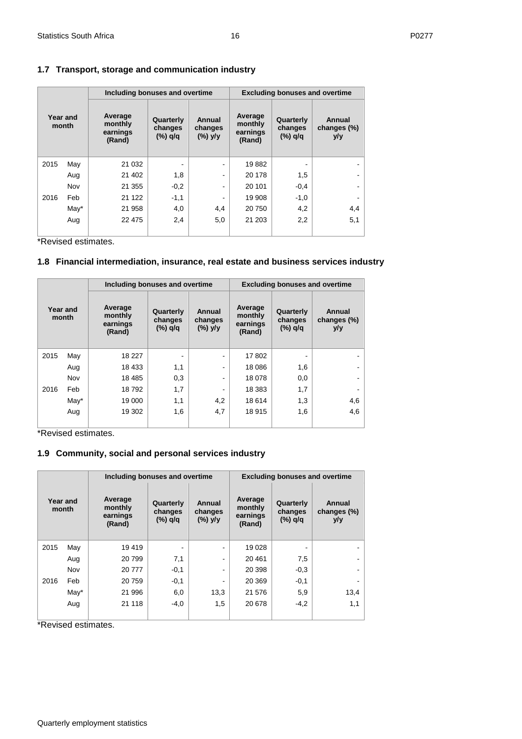## **1.7 Transport, storage and communication industry**

| Year and<br>month |      | Including bonuses and overtime           |                                 | <b>Excluding bonuses and overtime</b> |                                          |                                 |                              |
|-------------------|------|------------------------------------------|---------------------------------|---------------------------------------|------------------------------------------|---------------------------------|------------------------------|
|                   |      | Average<br>monthly<br>earnings<br>(Rand) | Quarterly<br>changes<br>(%) q/q | Annual<br>changes<br>$(\%)$ y/y       | Average<br>monthly<br>earnings<br>(Rand) | Quarterly<br>changes<br>(%) q/q | Annual<br>changes (%)<br>y/y |
| 2015              | May  | 21 0 32                                  |                                 |                                       | 19882                                    |                                 |                              |
|                   | Aug  | 21 402                                   | 1,8                             | $\blacksquare$                        | 20 178                                   | 1,5                             |                              |
|                   | Nov  | 21 355                                   | $-0,2$                          | -                                     | 20 101                                   | $-0,4$                          |                              |
| 2016              | Feb  | 21 1 22                                  | $-1,1$                          |                                       | 19 908                                   | $-1,0$                          |                              |
|                   | May* | 21 958                                   | 4,0                             | 4,4                                   | 20750                                    | 4,2                             | 4,4                          |
|                   | Aug  | 22 4 7 5                                 | 2,4                             | 5,0                                   | 21 203                                   | 2,2                             | 5,1                          |
|                   |      |                                          |                                 |                                       |                                          |                                 |                              |

\*Revised estimates.

## **1.8 Financial intermediation, insurance, real estate and business services industry**

| Year and<br>month |      | Including bonuses and overtime           |                                   |                                 |                                          | <b>Excluding bonuses and overtime</b> |                              |  |  |
|-------------------|------|------------------------------------------|-----------------------------------|---------------------------------|------------------------------------------|---------------------------------------|------------------------------|--|--|
|                   |      | Average<br>monthly<br>earnings<br>(Rand) | Quarterly<br>changes<br>$(*)$ q/q | Annual<br>changes<br>$(\%)$ y/y | Average<br>monthly<br>earnings<br>(Rand) | Quarterly<br>changes<br>(%) q/q       | Annual<br>changes (%)<br>y/y |  |  |
| 2015              | May  | 18 227                                   |                                   | $\blacksquare$                  | 17802                                    |                                       |                              |  |  |
|                   | Aug  | 18 433                                   | 1,1                               | ۰                               | 18 0 86                                  | 1,6                                   |                              |  |  |
|                   | Nov  | 18 4 85                                  | 0,3                               | $\qquad \qquad \blacksquare$    | 18 078                                   | 0,0                                   |                              |  |  |
| 2016              | Feb  | 18792                                    | 1,7                               | $\overline{\phantom{a}}$        | 18 3 8 3                                 | 1,7                                   |                              |  |  |
|                   | May* | 19 000                                   | 1,1                               | 4,2                             | 18 6 14                                  | 1,3                                   | 4,6                          |  |  |
|                   | Aug  | 19 302                                   | 1,6                               | 4,7                             | 18915                                    | 1,6                                   | 4,6                          |  |  |
|                   |      |                                          |                                   |                                 |                                          |                                       |                              |  |  |

\*Revised estimates.

## **1.9 Community, social and personal services industry**

| Year and<br>month |      | Including bonuses and overtime           |                                    |                                 |                                          | <b>Excluding bonuses and overtime</b> |                              |  |
|-------------------|------|------------------------------------------|------------------------------------|---------------------------------|------------------------------------------|---------------------------------------|------------------------------|--|
|                   |      | Average<br>monthly<br>earnings<br>(Rand) | Quarterly<br>changes<br>$(\%)$ q/q | Annual<br>changes<br>$(\%)$ y/y | Average<br>monthly<br>earnings<br>(Rand) | Quarterly<br>changes<br>(%) q/q       | Annual<br>changes (%)<br>y/y |  |
| 2015              | May  | 19 419                                   |                                    |                                 | 19 0 28                                  |                                       |                              |  |
|                   | Aug  | 20 799                                   | 7,1                                |                                 | 20461                                    | 7,5                                   |                              |  |
|                   | Nov  | 20 777                                   | $-0,1$                             |                                 | 20 398                                   | $-0.3$                                |                              |  |
| 2016              | Feb  | 20 759                                   | $-0,1$                             |                                 | 20 369                                   | $-0,1$                                |                              |  |
|                   | May* | 21 996                                   | 6,0                                | 13,3                            | 21 576                                   | 5,9                                   | 13,4                         |  |
|                   | Aug  | 21 118                                   | $-4,0$                             | 1,5                             | 20 678                                   | $-4,2$                                | 1,1                          |  |
|                   |      |                                          |                                    |                                 |                                          |                                       |                              |  |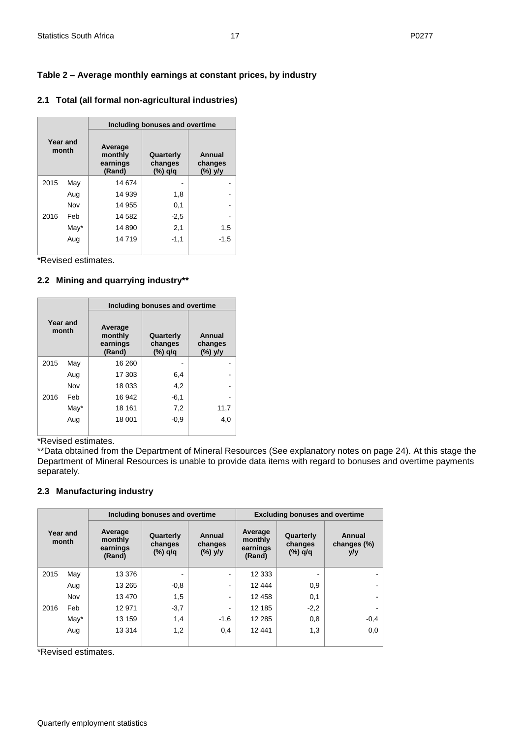## <span id="page-16-0"></span>**Table 2 – Average monthly earnings at constant prices, by industry**

|  |  |  | 2.1 Total (all formal non-agricultural industries) |  |
|--|--|--|----------------------------------------------------|--|
|--|--|--|----------------------------------------------------|--|

|                   |      | Including bonuses and overtime           |                                    |                              |  |  |  |
|-------------------|------|------------------------------------------|------------------------------------|------------------------------|--|--|--|
| Year and<br>month |      | Average<br>monthly<br>earnings<br>(Rand) | Quarterly<br>changes<br>$(\%)$ q/q | Annual<br>changes<br>(%) y/y |  |  |  |
| 2015              | May  | 14 674                                   |                                    |                              |  |  |  |
|                   | Aug  | 14 939                                   | 1,8                                |                              |  |  |  |
|                   | Nov  | 14 955                                   | 0,1                                |                              |  |  |  |
| 2016              | Feb  | 14 582                                   | $-2,5$                             |                              |  |  |  |
|                   | May* | 14 890                                   | 2,1                                | 1,5                          |  |  |  |
|                   | Aug  | 14719                                    | $-1,1$                             | $-1,5$                       |  |  |  |
|                   |      |                                          |                                    |                              |  |  |  |

\*Revised estimates.

## **2.2 Mining and quarrying industry\*\***

|                   |      | Including bonuses and overtime           |                                 |                              |  |  |  |
|-------------------|------|------------------------------------------|---------------------------------|------------------------------|--|--|--|
| Year and<br>month |      | Average<br>monthly<br>earnings<br>(Rand) | Quarterly<br>changes<br>(%) q/q | Annual<br>changes<br>(%) y/y |  |  |  |
| 2015              | May  | 16 260                                   |                                 |                              |  |  |  |
|                   | Aug  | 17 303                                   | 6,4                             |                              |  |  |  |
|                   | Nov  | 18 033                                   | 4,2                             |                              |  |  |  |
| 2016              | Feb  | 16 942                                   | $-6,1$                          |                              |  |  |  |
|                   | May* | 18 161                                   | 7,2                             | 11,7                         |  |  |  |
|                   | Aug  | 18 001                                   | $-0.9$                          | 4,0                          |  |  |  |

\*Revised estimates.

\*\*Data obtained from the Department of Mineral Resources (See explanatory notes on page 24). At this stage the Department of Mineral Resources is unable to provide data items with regard to bonuses and overtime payments separately.

## **2.3 Manufacturing industry**

| Year and<br>month |         |                                          | Including bonuses and overtime  |                                 |                                          | <b>Excluding bonuses and overtime</b> |                              |  |
|-------------------|---------|------------------------------------------|---------------------------------|---------------------------------|------------------------------------------|---------------------------------------|------------------------------|--|
|                   |         | Average<br>monthly<br>earnings<br>(Rand) | Quarterly<br>changes<br>(%) q/q | Annual<br>changes<br>$(\%)$ y/y | Average<br>monthly<br>earnings<br>(Rand) | Quarterly<br>changes<br>(%) q/q       | Annual<br>changes (%)<br>y/y |  |
| 2015              | May     | 13 376                                   |                                 |                                 | 12 3 33                                  |                                       |                              |  |
|                   | Aug     | 13 2 65                                  | $-0.8$                          |                                 | 12 444                                   | 0,9                                   |                              |  |
|                   | Nov     | 13 470                                   | 1,5                             |                                 | 12 458                                   | 0,1                                   |                              |  |
| 2016              | Feb     | 12 971                                   | $-3,7$                          |                                 | 12 185                                   | $-2,2$                                |                              |  |
|                   | $M$ ay* | 13 159                                   | 1,4                             | $-1,6$                          | 12 2 8 5                                 | 0,8                                   | $-0,4$                       |  |
|                   | Aug     | 13 3 14                                  | 1,2                             | 0,4                             | 12 441                                   | 1,3                                   | 0,0                          |  |
|                   |         |                                          |                                 |                                 |                                          |                                       |                              |  |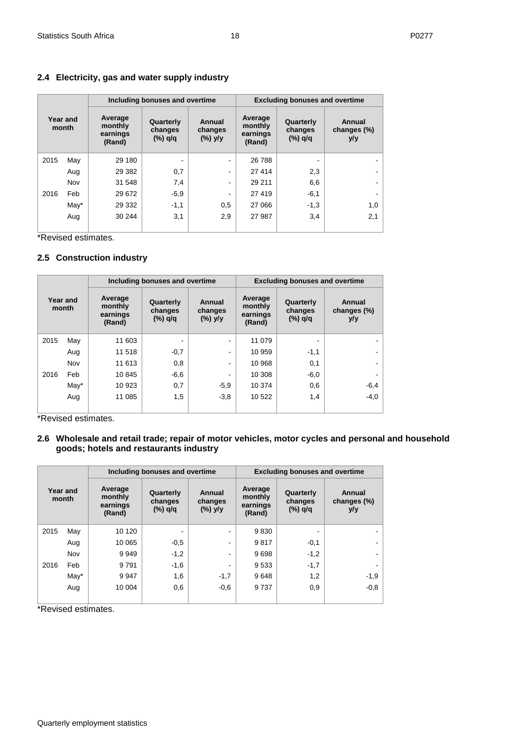|  | 2.4 Electricity, gas and water supply industry |  |  |  |  |  |
|--|------------------------------------------------|--|--|--|--|--|
|--|------------------------------------------------|--|--|--|--|--|

|                   |      |                                          | Including bonuses and overtime  |                                 | <b>Excluding bonuses and overtime</b>    |                                 |                              |  |  |
|-------------------|------|------------------------------------------|---------------------------------|---------------------------------|------------------------------------------|---------------------------------|------------------------------|--|--|
| Year and<br>month |      | Average<br>monthly<br>earnings<br>(Rand) | Quarterly<br>changes<br>(%) q/q | Annual<br>changes<br>$(\%)$ y/y | Average<br>monthly<br>earnings<br>(Rand) | Quarterly<br>changes<br>(%) q/q | Annual<br>changes (%)<br>y/y |  |  |
| 2015              | May  | 29 180                                   |                                 |                                 | 26 788                                   |                                 |                              |  |  |
|                   | Aug  | 29 3 82                                  | 0,7                             |                                 | 27 414                                   | 2,3                             |                              |  |  |
|                   | Nov  | 31 548                                   | 7,4                             |                                 | 29 211                                   | 6,6                             |                              |  |  |
| 2016              | Feb  | 29 672                                   | $-5,9$                          |                                 | 27 419                                   | $-6,1$                          |                              |  |  |
|                   | May* | 29 332                                   | $-1,1$                          | 0,5                             | 27 066                                   | $-1,3$                          | 1,0                          |  |  |
|                   | Aug  | 30 244                                   | 3,1                             | 2,9                             | 27 987                                   | 3,4                             | 2,1                          |  |  |
|                   |      |                                          |                                 |                                 |                                          |                                 |                              |  |  |

\*Revised estimates.

## **2.5 Construction industry**

|                   |      |                                          | Including bonuses and overtime  |                                 | <b>Excluding bonuses and overtime</b>    |                                 |                              |  |  |  |
|-------------------|------|------------------------------------------|---------------------------------|---------------------------------|------------------------------------------|---------------------------------|------------------------------|--|--|--|
| Year and<br>month |      | Average<br>monthly<br>earnings<br>(Rand) | Quarterly<br>changes<br>(%) q/q | Annual<br>changes<br>$(\%)$ y/y | Average<br>monthly<br>earnings<br>(Rand) | Quarterly<br>changes<br>(%) q/q | Annual<br>changes (%)<br>y/y |  |  |  |
| 2015              | May  | 11 603                                   |                                 | ۰                               | 11 079                                   |                                 |                              |  |  |  |
|                   | Aug  | 11 518                                   | $-0,7$                          | -                               | 10 959                                   | $-1,1$                          |                              |  |  |  |
|                   | Nov  | 11 613                                   | 0,8                             | ۰                               | 10 968                                   | 0,1                             |                              |  |  |  |
| 2016              | Feb  | 10845                                    | $-6,6$                          | ۰                               | 10 308                                   | $-6,0$                          |                              |  |  |  |
|                   | May* | 10 923                                   | 0,7                             | $-5,9$                          | 10 374                                   | 0,6                             | $-6,4$                       |  |  |  |
|                   | Aug  | 11 085                                   | 1,5                             | $-3.8$                          | 10 522                                   | 1,4                             | $-4.0$                       |  |  |  |

\*Revised estimates.

#### **2.6 Wholesale and retail trade; repair of motor vehicles, motor cycles and personal and household goods; hotels and restaurants industry**

|                   |         |                                          | Including bonuses and overtime    |                                 |                                          | <b>Excluding bonuses and overtime</b> |                              |
|-------------------|---------|------------------------------------------|-----------------------------------|---------------------------------|------------------------------------------|---------------------------------------|------------------------------|
| Year and<br>month |         | Average<br>monthly<br>earnings<br>(Rand) | Quarterly<br>changes<br>$(*)$ q/q | Annual<br>changes<br>$(\%)$ y/y | Average<br>monthly<br>earnings<br>(Rand) | Quarterly<br>changes<br>$(*)$ q/q     | Annual<br>changes (%)<br>y/y |
| 2015              | May     | 10 120                                   |                                   |                                 | 9830                                     |                                       |                              |
|                   | Aug     | 10 065                                   | $-0.5$                            | -                               | 9817                                     | $-0,1$                                |                              |
|                   | Nov     | 9949                                     | $-1,2$                            | ۰                               | 9698                                     | $-1,2$                                |                              |
| 2016              | Feb     | 9791                                     | $-1,6$                            | ۰                               | 9533                                     | $-1,7$                                |                              |
|                   | $M$ ay* | 9947                                     | 1,6                               | $-1,7$                          | 9648                                     | 1,2                                   | $-1,9$                       |
|                   | Aug     | 10 004                                   | 0,6                               | $-0,6$                          | 9737                                     | 0,9                                   | $-0.8$                       |
|                   |         |                                          |                                   |                                 |                                          |                                       |                              |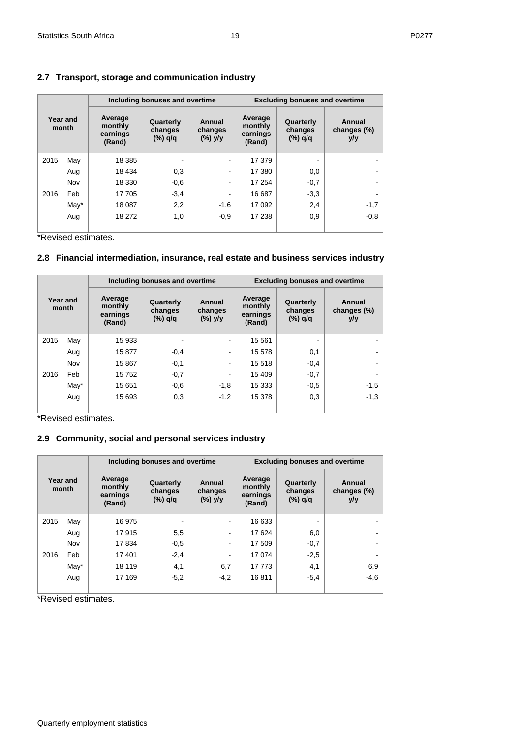## **2.7 Transport, storage and communication industry**

|                   |         |                                          | Including bonuses and overtime    |                                 |                                          | <b>Excluding bonuses and overtime</b> |                              |
|-------------------|---------|------------------------------------------|-----------------------------------|---------------------------------|------------------------------------------|---------------------------------------|------------------------------|
| Year and<br>month |         | Average<br>monthly<br>earnings<br>(Rand) | Quarterly<br>changes<br>$(*)$ q/q | Annual<br>changes<br>$(\%)$ y/y | Average<br>monthly<br>earnings<br>(Rand) | Quarterly<br>changes<br>(%) q/q       | Annual<br>changes (%)<br>y/y |
| 2015              | May     | 18 3 8 5                                 | ۰                                 |                                 | 17 379                                   |                                       |                              |
|                   | Aug     | 18 4 34                                  | 0,3                               |                                 | 17 380                                   | 0,0                                   |                              |
|                   | Nov     | 18 330                                   | $-0,6$                            |                                 | 17 254                                   | $-0,7$                                |                              |
| 2016              | Feb     | 17 705                                   | $-3,4$                            |                                 | 16 687                                   | $-3,3$                                |                              |
|                   | $M$ ay* | 18 087                                   | 2,2                               | $-1,6$                          | 17 092                                   | 2,4                                   | $-1,7$                       |
|                   | Aug     | 18 272                                   | 1,0                               | $-0.9$                          | 17 238                                   | 0,9                                   | $-0.8$                       |
|                   |         |                                          |                                   |                                 |                                          |                                       |                              |

\*Revised estimates.

## **2.8 Financial intermediation, insurance, real estate and business services industry**

|                   |      |                                          | Including bonuses and overtime  |                                 | <b>Excluding bonuses and overtime</b>    |                                 |                              |  |  |  |
|-------------------|------|------------------------------------------|---------------------------------|---------------------------------|------------------------------------------|---------------------------------|------------------------------|--|--|--|
| Year and<br>month |      | Average<br>monthly<br>earnings<br>(Rand) | Quarterly<br>changes<br>(%) q/q | Annual<br>changes<br>$(\%)$ y/y | Average<br>monthly<br>earnings<br>(Rand) | Quarterly<br>changes<br>(%) q/q | Annual<br>changes (%)<br>y/y |  |  |  |
| 2015              | May  | 15 933                                   |                                 |                                 | 15 5 61                                  |                                 |                              |  |  |  |
|                   | Aug  | 15877                                    | $-0,4$                          |                                 | 15 578                                   | 0,1                             |                              |  |  |  |
|                   | Nov  | 15 867                                   | $-0,1$                          |                                 | 15 5 18                                  | $-0,4$                          |                              |  |  |  |
| 2016              | Feb  | 15752                                    | $-0,7$                          |                                 | 15 409                                   | $-0,7$                          |                              |  |  |  |
|                   | May* | 15 651                                   | $-0,6$                          | $-1,8$                          | 15 333                                   | $-0,5$                          | $-1,5$                       |  |  |  |
|                   | Aug  | 15 693                                   | 0,3                             | $-1,2$                          | 15 378                                   | 0,3                             | $-1,3$                       |  |  |  |
|                   |      |                                          |                                 |                                 |                                          |                                 |                              |  |  |  |

\*Revised estimates.

## **2.9 Community, social and personal services industry**

|      |                   |                                          | Including bonuses and overtime  |                                 |                                          | <b>Excluding bonuses and overtime</b> |                              |
|------|-------------------|------------------------------------------|---------------------------------|---------------------------------|------------------------------------------|---------------------------------------|------------------------------|
|      | Year and<br>month | Average<br>monthly<br>earnings<br>(Rand) | Quarterly<br>changes<br>(%) q/q | Annual<br>changes<br>$(\%)$ y/y | Average<br>monthly<br>earnings<br>(Rand) | Quarterly<br>changes<br>(%) q/q       | Annual<br>changes (%)<br>y/y |
| 2015 | May               | 16975                                    |                                 | ٠                               | 16 633                                   |                                       |                              |
|      | Aug               | 17915                                    | 5,5                             | ۰                               | 17 624                                   | 6,0                                   |                              |
|      | Nov               | 17834                                    | $-0,5$                          |                                 | 17 509                                   | $-0,7$                                |                              |
| 2016 | Feb               | 17401                                    | $-2,4$                          |                                 | 17 074                                   | $-2,5$                                |                              |
|      | May*              | 18 119                                   | 4,1                             | 6,7                             | 17773                                    | 4,1                                   | 6,9                          |
|      | Aug               | 17 169                                   | $-5,2$                          | $-4,2$                          | 16811                                    | $-5,4$                                | $-4,6$                       |
|      | . <i>.</i> .      |                                          |                                 |                                 |                                          |                                       |                              |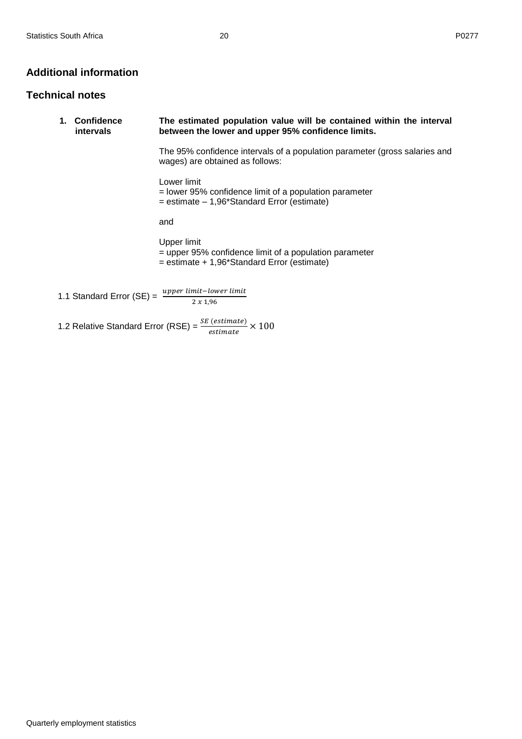## <span id="page-19-0"></span>**Additional information**

## <span id="page-19-1"></span>**Technical notes**

| 1. | <b>Confidence</b><br><i>intervals</i> | The estimated population value will be contained within the interval<br>between the lower and upper 95% confidence limits. |
|----|---------------------------------------|----------------------------------------------------------------------------------------------------------------------------|
|    |                                       | The 95% confidence intervals of a population parameter (gross salaries and<br>wages) are obtained as follows:              |
|    |                                       | Lower limit<br>= lower 95% confidence limit of a population parameter<br>$=$ estimate $-1,96$ *Standard Error (estimate)   |
|    |                                       | and                                                                                                                        |
|    |                                       | Upper limit<br>= upper 95% confidence limit of a population parameter<br>$=$ estimate + 1,96*Standard Error (estimate)     |
|    |                                       | 1.1 Standard Error (SE) = $\frac{upper limit-lower limit}{2}$                                                              |
|    |                                       | 1.2 Relative Standard Error (RSE) = $\frac{SE\left(estimate\right)}{estimate} \times 100$                                  |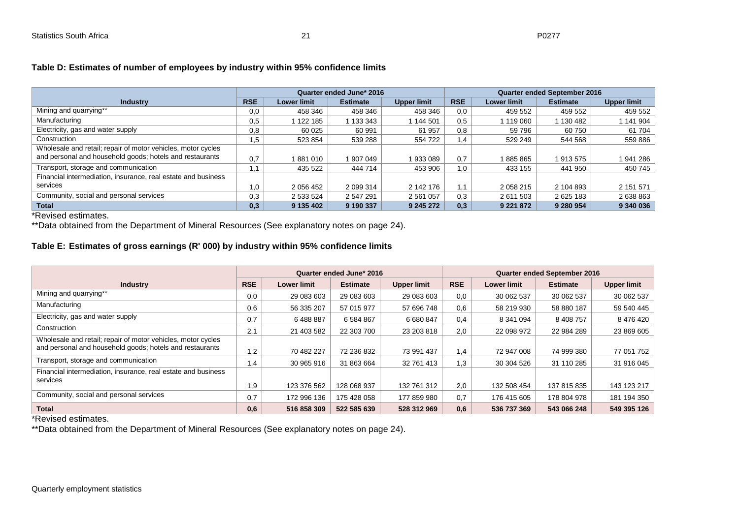|                                                               |            |                    | Quarter ended June* 2016 |                    |            |                    | <b>Quarter ended September 2016</b> |                    |
|---------------------------------------------------------------|------------|--------------------|--------------------------|--------------------|------------|--------------------|-------------------------------------|--------------------|
| <b>Industry</b>                                               | <b>RSE</b> | <b>Lower limit</b> | <b>Estimate</b>          | <b>Upper limit</b> | <b>RSE</b> | <b>Lower limit</b> | <b>Estimate</b>                     | <b>Upper limit</b> |
| Mining and quarrying**                                        | 0,0        | 458 346            | 458 346                  | 458 346            | 0,0        | 459 552            | 459 552                             | 459 552            |
| Manufacturing                                                 | 0,5        | 122 185            | 133 343                  | 144 501            | 0.5        | 119 060            | 1 130 482                           | 1 141 904          |
| Electricity, gas and water supply                             | 0,8        | 60 0 25            | 60 991                   | 61 957             | 0,8        | 59 796             | 60 750                              | 61 704             |
| Construction                                                  | 1,5        | 523 854            | 539 288                  | 554 722            | 1,4        | 529 249            | 544 568                             | 559 886            |
| Wholesale and retail; repair of motor vehicles, motor cycles  |            |                    |                          |                    |            |                    |                                     |                    |
| and personal and household goods; hotels and restaurants      | 0,7        | 881 010            | 1907049                  | 933 089            | 0.7        | 885 865            | 1913575                             | 1941286            |
| Transport, storage and communication                          | 1.1        | 435 522            | 444 714                  | 453 906            | 1,0        | 433 155            | 441 950                             | 450 745            |
| Financial intermediation, insurance, real estate and business |            |                    |                          |                    |            |                    |                                     |                    |
| services                                                      | 1.0        | 2 056 452          | 2 099 314                | 2 142 176          | 1.1        | 2 0 58 2 15        | 2 104 893                           | 2 151 571          |
| Community, social and personal services                       | 0,3        | 2 533 524          | 2 547 291                | 2 5 6 1 0 5 7      | 0.3        | 2 611 503          | 2 625 183                           | 2 638 863          |
| <b>Total</b>                                                  | 0,3        | 9 135 402          | 9 190 337                | 9 245 272          | 0,3        | 9 2 2 1 8 7 2      | 9 280 954                           | 9 340 036          |

## **Table D: Estimates of number of employees by industry within 95% confidence limits**

\*Revised estimates.

\*\*Data obtained from the Department of Mineral Resources (See explanatory notes on page 24).

## **Table E: Estimates of gross earnings (R' 000) by industry within 95% confidence limits**

<span id="page-20-0"></span>

|                                                               |            |                    | Quarter ended June* 2016 |                    |            |                    | Quarter ended September 2016 |                    |
|---------------------------------------------------------------|------------|--------------------|--------------------------|--------------------|------------|--------------------|------------------------------|--------------------|
| <b>Industry</b>                                               | <b>RSE</b> | <b>Lower limit</b> | <b>Estimate</b>          | <b>Upper limit</b> | <b>RSE</b> | <b>Lower limit</b> | <b>Estimate</b>              | <b>Upper limit</b> |
| Mining and quarrying**                                        | 0,0        | 29 083 603         | 29 083 603               | 29 083 603         | 0,0        | 30 062 537         | 30 062 537                   | 30 062 537         |
| Manufacturing                                                 | 0,6        | 56 335 207         | 57 015 977               | 57 696 748         | 0,6        | 58 219 930         | 58 880 187                   | 59 540 445         |
| Electricity, gas and water supply                             | 0,7        | 6488887            | 6 584 867                | 6 680 847          | 0,4        | 8 341 094          | 8 408 757                    | 8 476 420          |
| Construction                                                  | 2.1        | 21 403 582         | 22 303 700               | 23 203 818         | 2,0        | 22 098 972         | 22 984 289                   | 23 869 605         |
| Wholesale and retail; repair of motor vehicles, motor cycles  |            |                    |                          |                    |            |                    |                              |                    |
| and personal and household goods; hotels and restaurants      | 1,2        | 70 482 227         | 72 236 832               | 73 991 437         | 1.4        | 72 947 008         | 74 999 380                   | 77 051 752         |
| Transport, storage and communication                          | 1,4        | 30 965 916         | 31 863 664               | 32 761 413         | 1.3        | 30 304 526         | 31 110 285                   | 31 916 045         |
| Financial intermediation, insurance, real estate and business |            |                    |                          |                    |            |                    |                              |                    |
| services                                                      | 1.9        | 123 376 562        | 128 068 937              | 132 761 312        | 2.0        | 132 508 454        | 137 815 835                  | 143 123 217        |
| Community, social and personal services                       | 0,7        | 172 996 136        | 175 428 058              | 177 859 980        | 0.7        | 176 415 605        | 178 804 978                  | 181 194 350        |
| <b>Total</b>                                                  | 0,6        | 516 858 309        | 522 585 639              | 528 312 969        | 0,6        | 536 737 369        | 543 066 248                  | 549 395 126        |

\*Revised estimates.

<span id="page-20-1"></span>\*\*Data obtained from the Department of Mineral Resources (See explanatory notes on page 24).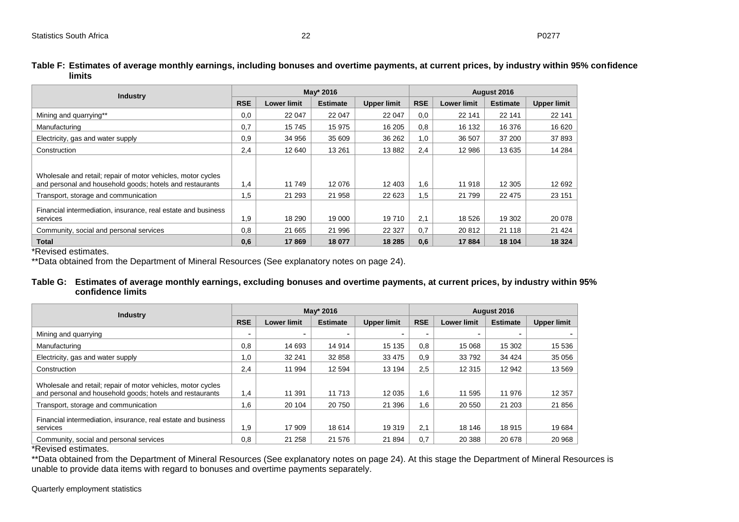| <b>Industry</b>                                                                                                          |            |                    | May* 2016       |                    | August 2016 |                    |                 |                    |
|--------------------------------------------------------------------------------------------------------------------------|------------|--------------------|-----------------|--------------------|-------------|--------------------|-----------------|--------------------|
|                                                                                                                          | <b>RSE</b> | <b>Lower limit</b> | <b>Estimate</b> | <b>Upper limit</b> | <b>RSE</b>  | <b>Lower limit</b> | <b>Estimate</b> | <b>Upper limit</b> |
| Mining and quarrying**                                                                                                   | 0.0        | 22 047             | 22 047          | 22 047             | 0,0         | 22 141             | 22 141          | 22 141             |
| Manufacturing                                                                                                            | 0.7        | 15745              | 15 975          | 16 205             | 0.8         | 16 132             | 16 376          | 16 620             |
| Electricity, gas and water supply                                                                                        | 0,9        | 34 956             | 35 609          | 36 26 2            | 1,0         | 36 507             | 37 200          | 37 893             |
| Construction                                                                                                             | 2,4        | 12 640             | 13 261          | 13882              | 2,4         | 12 986             | 13 635          | 14 2 84            |
|                                                                                                                          |            |                    |                 |                    |             |                    |                 |                    |
| Wholesale and retail; repair of motor vehicles, motor cycles<br>and personal and household goods; hotels and restaurants | 1,4        | 11 749             | 12 076          | 12 403             | 1.6         | 11 918             | 12 305          | 12 692             |
| Transport, storage and communication                                                                                     | 1,5        | 21 293             | 21 958          | 22 623             | 1,5         | 21 799             | 22 4 7 5        | 23 151             |
| Financial intermediation, insurance, real estate and business<br>services                                                | 1,9        | 18 290             | 19 000          | 19 710             | 2.1         | 18 5 26            | 19 302          | 20 078             |
| Community, social and personal services                                                                                  | 0,8        | 21 665             | 21 996          | 22 3 27            | 0.7         | 20 812             | 21 118          | 21 4 24            |
| <b>Total</b>                                                                                                             | 0.6        | 17869              | 18 077          | 18 285             | 0.6         | 17 884             | 18 104          | 18 3 24            |

**Table F: Estimates of average monthly earnings, including bonuses and overtime payments, at current prices, by industry within 95% confidence limits**

\*Revised estimates.

<span id="page-21-0"></span>\*\*Data obtained from the Department of Mineral Resources (See explanatory notes on page 24).

#### **Table G: Estimates of average monthly earnings, excluding bonuses and overtime payments, at current prices, by industry within 95% confidence limits**

| <b>Industry</b>                                                                                                          |            |                    | May* 2016       |                    | August 2016 |                    |                 |                    |
|--------------------------------------------------------------------------------------------------------------------------|------------|--------------------|-----------------|--------------------|-------------|--------------------|-----------------|--------------------|
|                                                                                                                          | <b>RSE</b> | <b>Lower limit</b> | <b>Estimate</b> | <b>Upper limit</b> | <b>RSE</b>  | <b>Lower limit</b> | <b>Estimate</b> | <b>Upper limit</b> |
| Mining and guarrying                                                                                                     |            | -                  |                 |                    |             |                    |                 |                    |
| Manufacturing                                                                                                            | 0,8        | 14 693             | 14 914          | 15 135             | 0.8         | 15 068             | 15 302          | 15 536             |
| Electricity, gas and water supply                                                                                        | 1.0        | 32 241             | 32 858          | 33 4 75            | 0.9         | 33792              | 34 4 24         | 35 056             |
| Construction                                                                                                             | 2.4        | 11 994             | 12 5 94         | 13 194             | 2.5         | 12 3 15            | 12 942          | 13 569             |
| Wholesale and retail; repair of motor vehicles, motor cycles<br>and personal and household goods; hotels and restaurants | 1,4        | 11 391             | 11 713          | 12 0 35            | 1.6         | 11 595             | 11 976          | 12 3 5 7           |
| Transport, storage and communication                                                                                     | 1,6        | 20 104             | 20 750          | 21 396             | 1.6         | 20 550             | 21 203          | 21 856             |
| Financial intermediation, insurance, real estate and business<br>services                                                | 1.9        | 17 909             | 18 614          | 19 319             | 2.1         | 18 14 6            | 18 915          | 19 684             |
| Community, social and personal services                                                                                  | 0.8        | 21 258             | 21 576          | 21 894             | 0.7         | 20 388             | 20 678          | 20 968             |

\*Revised estimates.

<span id="page-21-1"></span>\*\*Data obtained from the Department of Mineral Resources (See explanatory notes on page 24). At this stage the Department of Mineral Resources is unable to provide data items with regard to bonuses and overtime payments separately.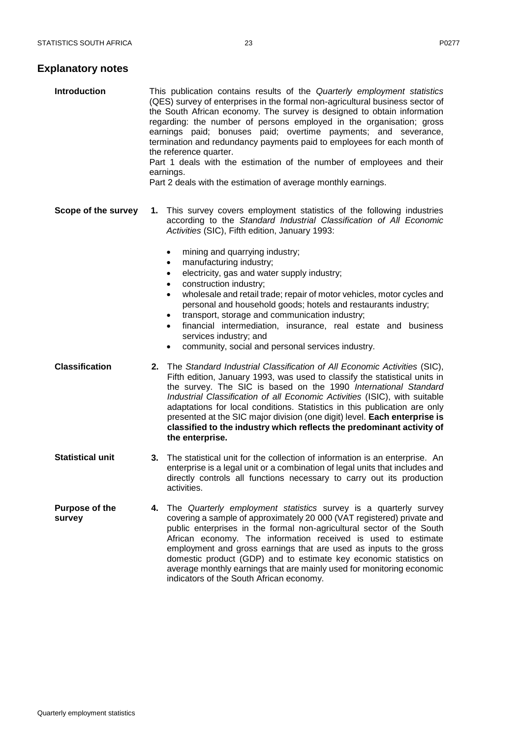## **Explanatory notes**

| <b>Introduction</b>             | This publication contains results of the Quarterly employment statistics<br>(QES) survey of enterprises in the formal non-agricultural business sector of<br>the South African economy. The survey is designed to obtain information<br>regarding: the number of persons employed in the organisation; gross<br>earnings paid; bonuses paid; overtime payments; and severance,<br>termination and redundancy payments paid to employees for each month of<br>the reference quarter.<br>Part 1 deals with the estimation of the number of employees and their<br>earnings.<br>Part 2 deals with the estimation of average monthly earnings. |  |
|---------------------------------|--------------------------------------------------------------------------------------------------------------------------------------------------------------------------------------------------------------------------------------------------------------------------------------------------------------------------------------------------------------------------------------------------------------------------------------------------------------------------------------------------------------------------------------------------------------------------------------------------------------------------------------------|--|
| Scope of the survey             | 1. This survey covers employment statistics of the following industries<br>according to the Standard Industrial Classification of All Economic<br>Activities (SIC), Fifth edition, January 1993:<br>mining and quarrying industry;<br>$\bullet$                                                                                                                                                                                                                                                                                                                                                                                            |  |
|                                 | manufacturing industry;<br>$\bullet$<br>electricity, gas and water supply industry;<br>$\bullet$                                                                                                                                                                                                                                                                                                                                                                                                                                                                                                                                           |  |
|                                 | construction industry;<br>$\bullet$<br>wholesale and retail trade; repair of motor vehicles, motor cycles and<br>$\bullet$<br>personal and household goods; hotels and restaurants industry;<br>transport, storage and communication industry;<br>$\bullet$<br>financial intermediation, insurance, real estate and business<br>$\bullet$<br>services industry; and<br>community, social and personal services industry.<br>$\bullet$                                                                                                                                                                                                      |  |
| <b>Classification</b>           | The Standard Industrial Classification of All Economic Activities (SIC),<br>2.<br>Fifth edition, January 1993, was used to classify the statistical units in<br>the survey. The SIC is based on the 1990 International Standard<br>Industrial Classification of all Economic Activities (ISIC), with suitable<br>adaptations for local conditions. Statistics in this publication are only<br>presented at the SIC major division (one digit) level. Each enterprise is<br>classified to the industry which reflects the predominant activity of<br>the enterprise.                                                                        |  |
| <b>Statistical unit</b>         | The statistical unit for the collection of information is an enterprise. An<br>3.<br>enterprise is a legal unit or a combination of legal units that includes and<br>directly controls all functions necessary to carry out its production<br>activities.                                                                                                                                                                                                                                                                                                                                                                                  |  |
| <b>Purpose of the</b><br>survey | The Quarterly employment statistics survey is a quarterly survey<br>4.<br>covering a sample of approximately 20 000 (VAT registered) private and<br>public enterprises in the formal non-agricultural sector of the South<br>African economy. The information received is used to estimate<br>employment and gross earnings that are used as inputs to the gross<br>domestic product (GDP) and to estimate key economic statistics on<br>average monthly earnings that are mainly used for monitoring economic<br>indicators of the South African economy.                                                                                 |  |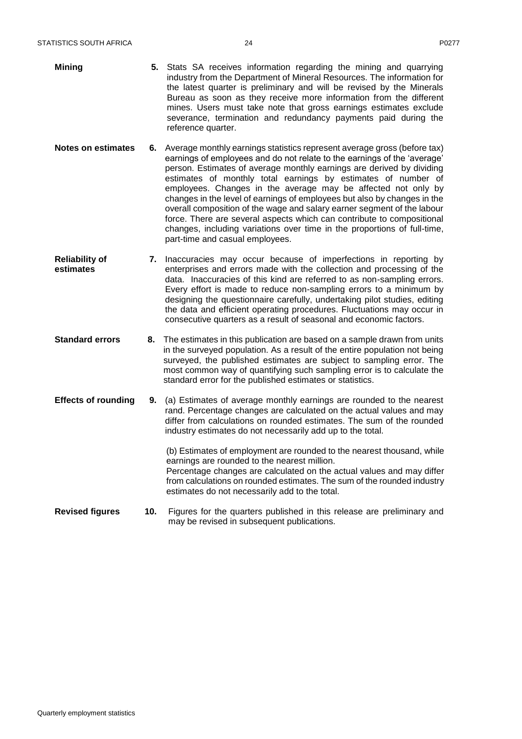| <b>Mining</b> | 5. Stats SA receives information regarding the mining and quarrying<br>industry from the Department of Mineral Resources. The information for<br>the latest quarter is preliminary and will be revised by the Minerals<br>Bureau as soon as they receive more information from the different<br>mines. Users must take note that gross earnings estimates exclude<br>severance, termination and redundancy payments paid during the<br>reference quarter. |
|---------------|-----------------------------------------------------------------------------------------------------------------------------------------------------------------------------------------------------------------------------------------------------------------------------------------------------------------------------------------------------------------------------------------------------------------------------------------------------------|
|---------------|-----------------------------------------------------------------------------------------------------------------------------------------------------------------------------------------------------------------------------------------------------------------------------------------------------------------------------------------------------------------------------------------------------------------------------------------------------------|

- **Notes on estimates 6.** Average monthly earnings statistics represent average gross (before tax) earnings of employees and do not relate to the earnings of the 'average' person. Estimates of average monthly earnings are derived by dividing estimates of monthly total earnings by estimates of number of employees. Changes in the average may be affected not only by changes in the level of earnings of employees but also by changes in the overall composition of the wage and salary earner segment of the labour force. There are several aspects which can contribute to compositional changes, including variations over time in the proportions of full-time, part-time and casual employees.
- **Reliability of estimates 7.** Inaccuracies may occur because of imperfections in reporting by enterprises and errors made with the collection and processing of the data. Inaccuracies of this kind are referred to as non-sampling errors. Every effort is made to reduce non-sampling errors to a minimum by designing the questionnaire carefully, undertaking pilot studies, editing the data and efficient operating procedures. Fluctuations may occur in consecutive quarters as a result of seasonal and economic factors.
- **Standard errors 8.** The estimates in this publication are based on a sample drawn from units in the surveyed population. As a result of the entire population not being surveyed, the published estimates are subject to sampling error. The most common way of quantifying such sampling error is to calculate the standard error for the published estimates or statistics.
- **Effects of rounding 9.** (a) Estimates of average monthly earnings are rounded to the nearest rand. Percentage changes are calculated on the actual values and may differ from calculations on rounded estimates. The sum of the rounded industry estimates do not necessarily add up to the total.

(b) Estimates of employment are rounded to the nearest thousand, while earnings are rounded to the nearest million. Percentage changes are calculated on the actual values and may differ

from calculations on rounded estimates. The sum of the rounded industry estimates do not necessarily add to the total.

**Revised figures 10.** Figures for the quarters published in this release are preliminary and may be revised in subsequent publications.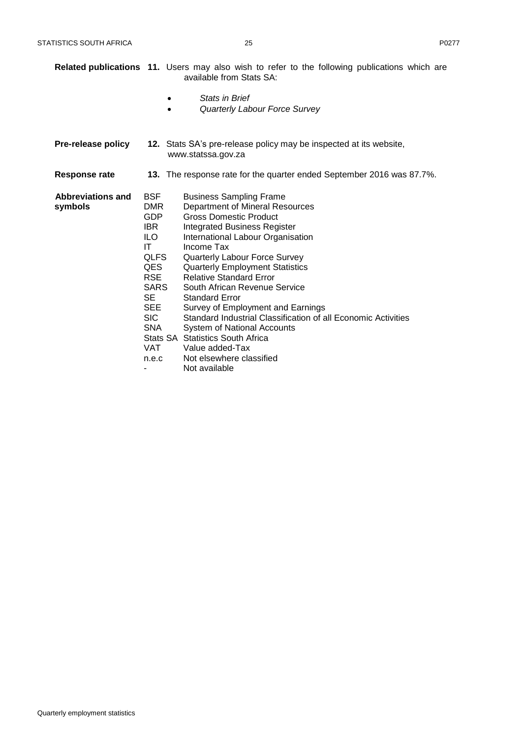|                              |                                                                                                                                                                     | <b>Related publications 11.</b> Users may also wish to refer to the following publications which are<br>available from Stats SA:                                                                                                                                                                                                                                                                                                                                                                                                                                                                                           |
|------------------------------|---------------------------------------------------------------------------------------------------------------------------------------------------------------------|----------------------------------------------------------------------------------------------------------------------------------------------------------------------------------------------------------------------------------------------------------------------------------------------------------------------------------------------------------------------------------------------------------------------------------------------------------------------------------------------------------------------------------------------------------------------------------------------------------------------------|
|                              | $\bullet$                                                                                                                                                           | <b>Stats in Brief</b><br>Quarterly Labour Force Survey                                                                                                                                                                                                                                                                                                                                                                                                                                                                                                                                                                     |
| Pre-release policy           |                                                                                                                                                                     | 12. Stats SA's pre-release policy may be inspected at its website,<br>www.statssa.gov.za                                                                                                                                                                                                                                                                                                                                                                                                                                                                                                                                   |
| Response rate                |                                                                                                                                                                     | 13. The response rate for the quarter ended September 2016 was 87.7%.                                                                                                                                                                                                                                                                                                                                                                                                                                                                                                                                                      |
| Abbreviations and<br>symbols | <b>BSF</b><br><b>DMR</b><br><b>GDP</b><br>IBR.<br>ILO.<br>ΙT<br>QLFS<br>QES.<br><b>RSE</b><br>SARS<br>SE<br><b>SEE</b><br>SIC.<br><b>SNA</b><br><b>VAT</b><br>n.e.c | <b>Business Sampling Frame</b><br><b>Department of Mineral Resources</b><br><b>Gross Domestic Product</b><br><b>Integrated Business Register</b><br>International Labour Organisation<br>Income Tax<br>Quarterly Labour Force Survey<br><b>Quarterly Employment Statistics</b><br><b>Relative Standard Error</b><br>South African Revenue Service<br><b>Standard Error</b><br>Survey of Employment and Earnings<br>Standard Industrial Classification of all Economic Activities<br>System of National Accounts<br><b>Stats SA Statistics South Africa</b><br>Value added-Tax<br>Not elsewhere classified<br>Not available |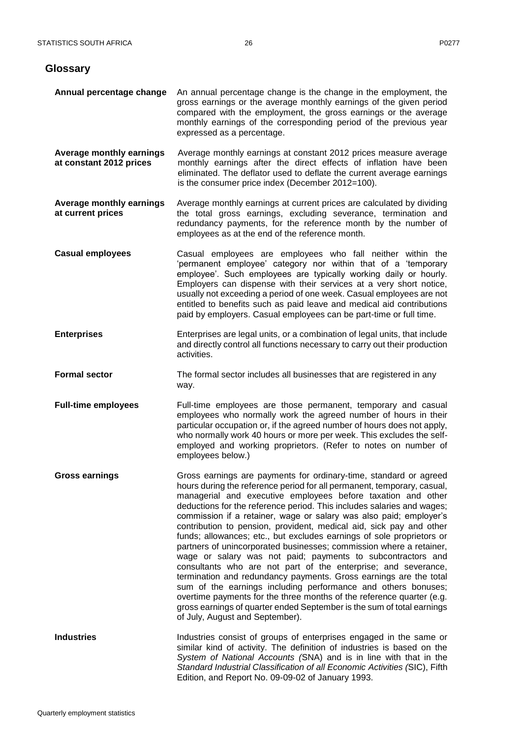<span id="page-25-0"></span>**Glossary**

| Annual percentage change                            | An annual percentage change is the change in the employment, the<br>gross earnings or the average monthly earnings of the given period<br>compared with the employment, the gross earnings or the average<br>monthly earnings of the corresponding period of the previous year<br>expressed as a percentage.                                                                                                                                                                                                                                                                                                                                                                                                                                                                                                                                                                                                                                                                                                                                     |
|-----------------------------------------------------|--------------------------------------------------------------------------------------------------------------------------------------------------------------------------------------------------------------------------------------------------------------------------------------------------------------------------------------------------------------------------------------------------------------------------------------------------------------------------------------------------------------------------------------------------------------------------------------------------------------------------------------------------------------------------------------------------------------------------------------------------------------------------------------------------------------------------------------------------------------------------------------------------------------------------------------------------------------------------------------------------------------------------------------------------|
| Average monthly earnings<br>at constant 2012 prices | Average monthly earnings at constant 2012 prices measure average<br>monthly earnings after the direct effects of inflation have been<br>eliminated. The deflator used to deflate the current average earnings<br>is the consumer price index (December 2012=100).                                                                                                                                                                                                                                                                                                                                                                                                                                                                                                                                                                                                                                                                                                                                                                                |
| Average monthly earnings<br>at current prices       | Average monthly earnings at current prices are calculated by dividing<br>the total gross earnings, excluding severance, termination and<br>redundancy payments, for the reference month by the number of<br>employees as at the end of the reference month.                                                                                                                                                                                                                                                                                                                                                                                                                                                                                                                                                                                                                                                                                                                                                                                      |
| <b>Casual employees</b>                             | Casual employees are employees who fall neither within the<br>'permanent employee' category nor within that of a 'temporary<br>employee'. Such employees are typically working daily or hourly.<br>Employers can dispense with their services at a very short notice,<br>usually not exceeding a period of one week. Casual employees are not<br>entitled to benefits such as paid leave and medical aid contributions<br>paid by employers. Casual employees can be part-time or full time.                                                                                                                                                                                                                                                                                                                                                                                                                                                                                                                                                     |
| <b>Enterprises</b>                                  | Enterprises are legal units, or a combination of legal units, that include<br>and directly control all functions necessary to carry out their production<br>activities.                                                                                                                                                                                                                                                                                                                                                                                                                                                                                                                                                                                                                                                                                                                                                                                                                                                                          |
| <b>Formal sector</b>                                | The formal sector includes all businesses that are registered in any<br>way.                                                                                                                                                                                                                                                                                                                                                                                                                                                                                                                                                                                                                                                                                                                                                                                                                                                                                                                                                                     |
| <b>Full-time employees</b>                          | Full-time employees are those permanent, temporary and casual<br>employees who normally work the agreed number of hours in their<br>particular occupation or, if the agreed number of hours does not apply,<br>who normally work 40 hours or more per week. This excludes the self-<br>employed and working proprietors. (Refer to notes on number of<br>employees below.)                                                                                                                                                                                                                                                                                                                                                                                                                                                                                                                                                                                                                                                                       |
| <b>Gross earnings</b>                               | Gross earnings are payments for ordinary-time, standard or agreed<br>hours during the reference period for all permanent, temporary, casual,<br>managerial and executive employees before taxation and other<br>deductions for the reference period. This includes salaries and wages;<br>commission if a retainer, wage or salary was also paid; employer's<br>contribution to pension, provident, medical aid, sick pay and other<br>funds; allowances; etc., but excludes earnings of sole proprietors or<br>partners of unincorporated businesses; commission where a retainer,<br>wage or salary was not paid; payments to subcontractors and<br>consultants who are not part of the enterprise; and severance,<br>termination and redundancy payments. Gross earnings are the total<br>sum of the earnings including performance and others bonuses;<br>overtime payments for the three months of the reference quarter (e.g.<br>gross earnings of quarter ended September is the sum of total earnings<br>of July, August and September). |
| <b>Industries</b>                                   | Industries consist of groups of enterprises engaged in the same or<br>similar kind of activity. The definition of industries is based on the<br>System of National Accounts (SNA) and is in line with that in the<br>Standard Industrial Classification of all Economic Activities (SIC), Fifth<br>Edition, and Report No. 09-09-02 of January 1993.                                                                                                                                                                                                                                                                                                                                                                                                                                                                                                                                                                                                                                                                                             |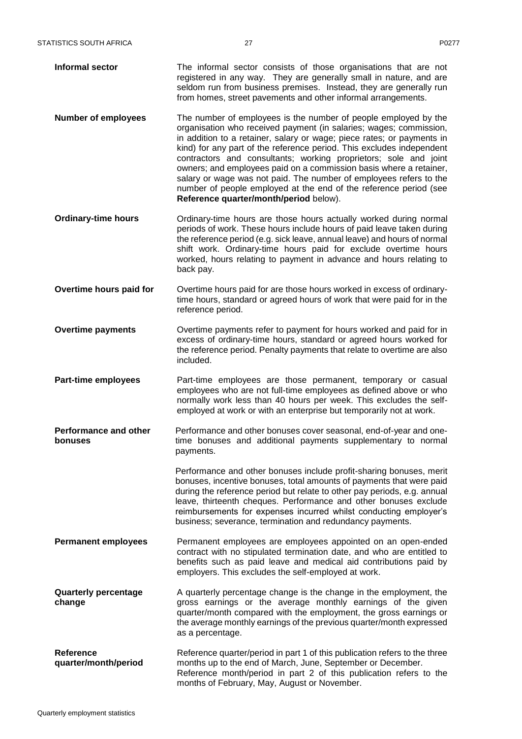- **Informal sector** The informal sector consists of those organisations that are not registered in any way. They are generally small in nature, and are seldom run from business premises. Instead, they are generally run from homes, street pavements and other informal arrangements.
- **Number of employees** The number of employees is the number of people employed by the organisation who received payment (in salaries; wages; commission, in addition to a retainer, salary or wage; piece rates; or payments in kind) for any part of the reference period. This excludes independent contractors and consultants; working proprietors; sole and joint owners; and employees paid on a commission basis where a retainer, salary or wage was not paid. The number of employees refers to the number of people employed at the end of the reference period (see **Reference quarter/month/period** below).
- **Ordinary-time hours Ordinary-time hours are those hours actually worked during normal** periods of work. These hours include hours of paid leave taken during the reference period (e.g. sick leave, annual leave) and hours of normal shift work. Ordinary-time hours paid for exclude overtime hours worked, hours relating to payment in advance and hours relating to back pay.
- **Overtime hours paid for** Overtime hours paid for are those hours worked in excess of ordinarytime hours, standard or agreed hours of work that were paid for in the reference period.
- **Overtime payments** Overtime payments refer to payment for hours worked and paid for in excess of ordinary-time hours, standard or agreed hours worked for the reference period. Penalty payments that relate to overtime are also included.
- **Part-time employees** Part-time employees are those permanent, temporary or casual employees who are not full-time employees as defined above or who normally work less than 40 hours per week. This excludes the selfemployed at work or with an enterprise but temporarily not at work.
- **Performance and other bonuses** Performance and other bonuses cover seasonal, end-of-year and onetime bonuses and additional payments supplementary to normal payments.

Performance and other bonuses include profit-sharing bonuses, merit bonuses, incentive bonuses, total amounts of payments that were paid during the reference period but relate to other pay periods, e.g. annual leave, thirteenth cheques. Performance and other bonuses exclude reimbursements for expenses incurred whilst conducting employer's business; severance, termination and redundancy payments.

- **Permanent employees** Permanent employees are employees appointed on an open-ended contract with no stipulated termination date, and who are entitled to benefits such as paid leave and medical aid contributions paid by employers. This excludes the self-employed at work.
- **Quarterly percentage change** A quarterly percentage change is the change in the employment, the gross earnings or the average monthly earnings of the given quarter/month compared with the employment, the gross earnings or the average monthly earnings of the previous quarter/month expressed as a percentage.
- **Reference quarter/month/period** Reference quarter/period in part 1 of this publication refers to the three months up to the end of March, June, September or December. Reference month/period in part 2 of this publication refers to the months of February, May, August or November.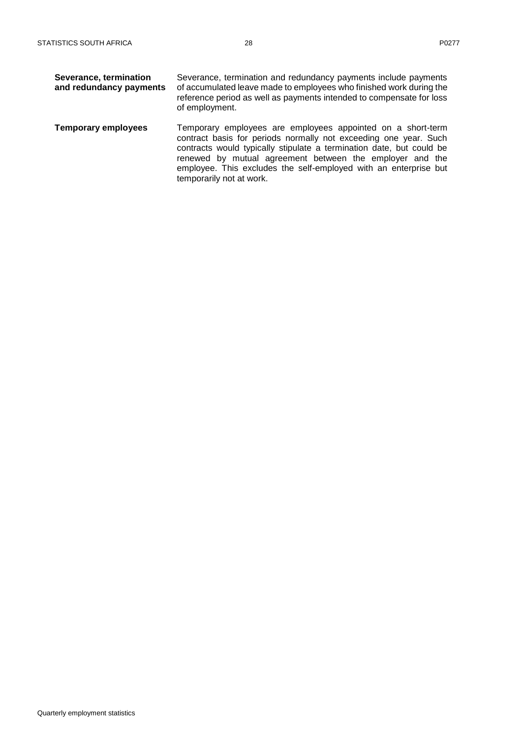| Severance, termination<br>and redundancy payments | Severance, termination and redundancy payments include payments<br>of accumulated leave made to employees who finished work during the<br>reference period as well as payments intended to compensate for loss<br>of employment.                                                                                                                                    |
|---------------------------------------------------|---------------------------------------------------------------------------------------------------------------------------------------------------------------------------------------------------------------------------------------------------------------------------------------------------------------------------------------------------------------------|
| <b>Temporary employees</b>                        | Temporary employees are employees appointed on a short-term<br>contract basis for periods normally not exceeding one year. Such<br>contracts would typically stipulate a termination date, but could be<br>renewed by mutual agreement between the employer and the<br>employee. This excludes the self-employed with an enterprise but<br>temporarily not at work. |